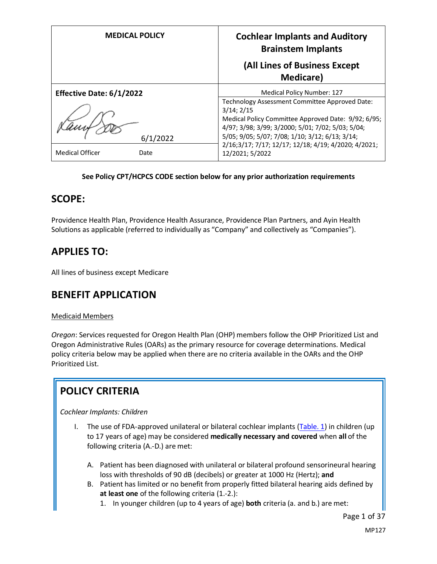| <b>MEDICAL POLICY</b>    | <b>Cochlear Implants and Auditory</b><br><b>Brainstem Implants</b>                                       |  |
|--------------------------|----------------------------------------------------------------------------------------------------------|--|
|                          | (All Lines of Business Except                                                                            |  |
|                          | <b>Medicare</b> )                                                                                        |  |
| Effective Date: 6/1/2022 | Medical Policy Number: 127                                                                               |  |
|                          | Technology Assessment Committee Approved Date:<br>3/14; 2/15                                             |  |
|                          | Medical Policy Committee Approved Date: 9/92; 6/95;<br>4/97; 3/98; 3/99; 3/2000; 5/01; 7/02; 5/03; 5/04; |  |
| 6/1/2022                 | 5/05; 9/05; 5/07; 7/08; 1/10; 3/12; 6/13; 3/14;                                                          |  |
| Medical Officer<br>Date  | 2/16;3/17; 7/17; 12/17; 12/18; 4/19; 4/2020; 4/2021;<br>12/2021; 5/2022                                  |  |

### **See Policy CPT/HCPCS CODE section below for any prior authorization requirements**

## **SCOPE:**

Providence Health Plan, Providence Health Assurance, Providence Plan Partners, and Ayin Health Solutions as applicable (referred to individually as "Company" and collectively as "Companies").

# **APPLIES TO:**

All lines of business except Medicare

## **BENEFIT APPLICATION**

### Medicaid Members

*Oregon*: Services requested for Oregon Health Plan (OHP) members follow the OHP Prioritized List and Oregon Administrative Rules (OARs) as the primary resource for coverage determinations. Medical policy criteria below may be applied when there are no criteria available in the OARs and the OHP Prioritized List.

# **POLICY CRITERIA**

*Cochlear Implants: Children*

- I. The use of FDA-approved unilateral or bilateral cochlear implants [\(Table. 1\)](#page-6-0) in children (up to 17 years of age) may be considered **medically necessary and covered** when **all** of the following criteria (A.-D.) are met:
	- A. Patient has been diagnosed with unilateral or bilateral profound sensorineural hearing loss with thresholds of 90 dB (decibels) or greater at 1000 Hz (Hertz); **and**
	- B. Patient has limited or no benefit from properly fitted bilateral hearing aids defined by **at least one** of the following criteria (1.-2.):
		- 1. In younger children (up to 4 years of age) **both** criteria (a. and b.) are met: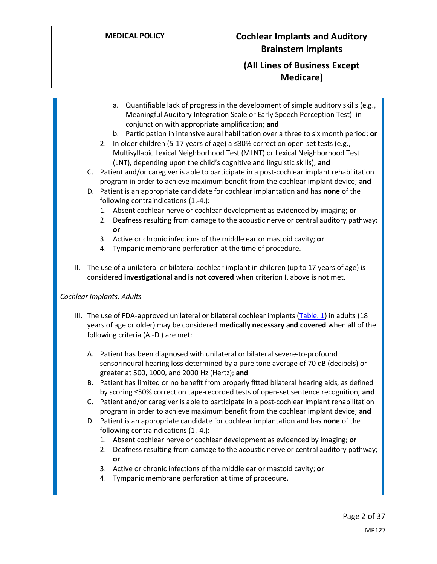- a. Quantifiable lack of progress in the development of simple auditory skills (e.g., Meaningful Auditory Integration Scale or Early Speech Perception Test) in conjunction with appropriate amplification; **and**
- b. Participation in intensive aural habilitation over a three to six month period; **or**
- 2. In older children (5-17 years of age) a ≤30% correct on open-set tests (e.g., Multisyllabic Lexical Neighborhood Test (MLNT) or Lexical Neighborhood Test (LNT), depending upon the child's cognitive and linguistic skills); **and**
- C. Patient and/or caregiver is able to participate in a post-cochlear implant rehabilitation program in order to achieve maximum benefit from the cochlear implant device; **and**
- D. Patient is an appropriate candidate for cochlear implantation and has **none** of the following contraindications (1.-4.):
	- 1. Absent cochlear nerve or cochlear development as evidenced by imaging; **or**
	- 2. Deafness resulting from damage to the acoustic nerve or central auditory pathway; **or**
	- 3. Active or chronic infections of the middle ear or mastoid cavity; **or**
	- 4. Tympanic membrane perforation at the time of procedure.
- II. The use of a unilateral or bilateral cochlear implant in children (up to 17 years of age) is considered **investigational and is not covered** when criterion I. above is not met.

### *Cochlear Implants: Adults*

- III. The use of FDA-approved unilateral or bilateral cochlear implants [\(Table. 1\)](#page-6-0) in adults (18 years of age or older) may be considered **medically necessary and covered** when **all** of the following criteria (A.-D.) are met:
	- A. Patient has been diagnosed with unilateral or bilateral severe-to-profound sensorineural hearing loss determined by a pure tone average of 70 dB (decibels) or greater at 500, 1000, and 2000 Hz (Hertz); **and**
	- B. Patient has limited or no benefit from properly fitted bilateral hearing aids, as defined by scoring ≤50% correct on tape-recorded tests of open-set sentence recognition; **and**
	- C. Patient and/or caregiver is able to participate in a post-cochlear implant rehabilitation program in order to achieve maximum benefit from the cochlear implant device; **and**
	- D. Patient is an appropriate candidate for cochlear implantation and has **none** of the following contraindications (1.-4.):
		- 1. Absent cochlear nerve or cochlear development as evidenced by imaging; **or**
		- 2. Deafness resulting from damage to the acoustic nerve or central auditory pathway; **or**
		- 3. Active or chronic infections of the middle ear or mastoid cavity; **or**
		- 4. Tympanic membrane perforation at time of procedure.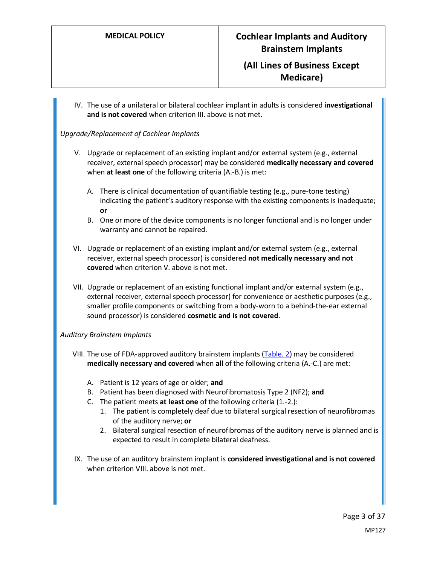IV. The use of a unilateral or bilateral cochlear implant in adults is considered **investigational and is not covered** when criterion III. above is not met.

### *Upgrade/Replacement of Cochlear Implants*

- V. Upgrade or replacement of an existing implant and/or external system (e.g., external receiver, external speech processor) may be considered **medically necessary and covered** when **at least one** of the following criteria (A.-B.) is met:
	- A. There is clinical documentation of quantifiable testing (e.g., pure-tone testing) indicating the patient's auditory response with the existing components is inadequate; **or**
	- B. One or more of the device components is no longer functional and is no longer under warranty and cannot be repaired.
- VI. Upgrade or replacement of an existing implant and/or external system (e.g., external receiver, external speech processor) is considered **not medically necessary and not covered** when criterion V. above is not met.
- VII. Upgrade or replacement of an existing functional implant and/or external system (e.g., external receiver, external speech processor) for convenience or aesthetic purposes (e.g., smaller profile components or switching from a body-worn to a behind-the-ear external sound processor) is considered **cosmetic and is not covered**.

### *Auditory Brainstem Implants*

- VIII. The use of FDA-approved auditory brainstem implants [\(Table. 2\)](#page-9-0) may be considered **medically necessary and covered** when **all** of the following criteria (A.-C.) are met:
	- A. Patient is 12 years of age or older; **and**
	- B. Patient has been diagnosed with Neurofibromatosis Type 2 (NF2); **and**
	- C. The patient meets **at least one** of the following criteria (1.-2.):
		- 1. The patient is completely deaf due to bilateral surgical resection of neurofibromas of the auditory nerve; **or**
		- 2. Bilateral surgical resection of neurofibromas of the auditory nerve is planned and is expected to result in complete bilateral deafness.
- IX. The use of an auditory brainstem implant is **considered investigational and is not covered**  when criterion VIII. above is not met.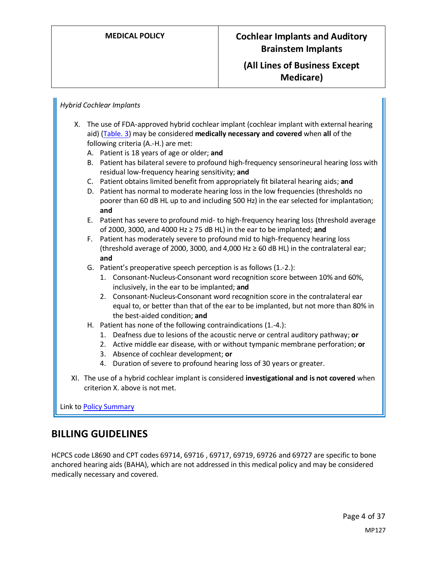### *Hybrid Cochlear Implants*

- X. The use of FDA-approved hybrid cochlear implant (cochlear implant with external hearing aid) [\(Table. 3\)](#page-9-1) may be considered **medically necessary and covered** when **all** of the following criteria (A.-H.) are met:
	- A. Patient is 18 years of age or older; **and**
	- B. Patient has bilateral severe to profound high-frequency sensorineural hearing loss with residual low-frequency hearing sensitivity; **and**
	- C. Patient obtains limited benefit from appropriately fit bilateral hearing aids; **and**
	- D. Patient has normal to moderate hearing loss in the low frequencies (thresholds no poorer than 60 dB HL up to and including 500 Hz) in the ear selected for implantation; **and**
	- E. Patient has severe to profound mid- to high-frequency hearing loss (threshold average of 2000, 3000, and 4000 Hz ≥ 75 dB HL) in the ear to be implanted; **and**
	- F. Patient has moderately severe to profound mid to high-frequency hearing loss (threshold average of 2000, 3000, and 4,000 Hz  $\geq$  60 dB HL) in the contralateral ear; **and**
	- G. Patient's preoperative speech perception is as follows (1.-2.):
		- 1. Consonant-Nucleus-Consonant word recognition score between 10% and 60%, inclusively, in the ear to be implanted; **and**
		- 2. Consonant-Nucleus-Consonant word recognition score in the contralateral ear equal to, or better than that of the ear to be implanted, but not more than 80% in the best-aided condition; **and**
	- H. Patient has none of the following contraindications (1.-4.):
		- 1. Deafness due to lesions of the acoustic nerve or central auditory pathway; **or**
		- 2. Active middle ear disease, with or without tympanic membrane perforation; **or**
		- 3. Absence of cochlear development; **or**
		- 4. Duration of severe to profound hearing loss of 30 years or greater.
- XI. The use of a hybrid cochlear implant is considered **investigational and is not covered** when criterion X. above is not met.

Link t[o Policy Summary](#page-27-0)

## **BILLING GUIDELINES**

HCPCS code L8690 and CPT codes 69714, 69716 , 69717, 69719, 69726 and 69727 are specific to bone anchored hearing aids (BAHA), which are not addressed in this medical policy and may be considered medically necessary and covered.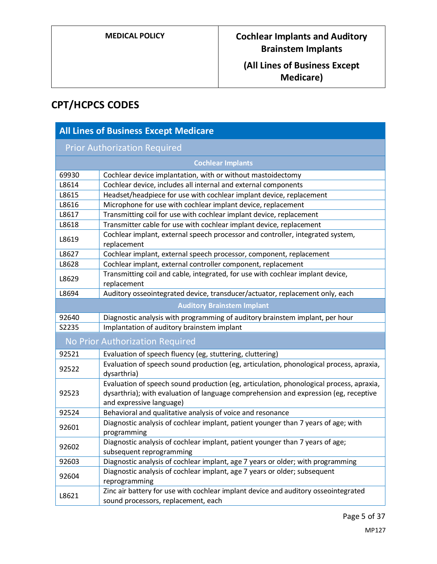# **CPT/HCPCS CODES**

| <b>All Lines of Business Except Medicare</b> |                                                                                                                                                                                                             |  |
|----------------------------------------------|-------------------------------------------------------------------------------------------------------------------------------------------------------------------------------------------------------------|--|
| <b>Prior Authorization Required</b>          |                                                                                                                                                                                                             |  |
|                                              | <b>Cochlear Implants</b>                                                                                                                                                                                    |  |
| 69930                                        | Cochlear device implantation, with or without mastoidectomy                                                                                                                                                 |  |
| L8614                                        | Cochlear device, includes all internal and external components                                                                                                                                              |  |
| L8615                                        | Headset/headpiece for use with cochlear implant device, replacement                                                                                                                                         |  |
| L8616                                        | Microphone for use with cochlear implant device, replacement                                                                                                                                                |  |
| L8617                                        | Transmitting coil for use with cochlear implant device, replacement                                                                                                                                         |  |
| L8618                                        | Transmitter cable for use with cochlear implant device, replacement                                                                                                                                         |  |
| L8619                                        | Cochlear implant, external speech processor and controller, integrated system,<br>replacement                                                                                                               |  |
| L8627                                        | Cochlear implant, external speech processor, component, replacement                                                                                                                                         |  |
| L8628                                        | Cochlear implant, external controller component, replacement                                                                                                                                                |  |
| L8629                                        | Transmitting coil and cable, integrated, for use with cochlear implant device,<br>replacement                                                                                                               |  |
| L8694                                        | Auditory osseointegrated device, transducer/actuator, replacement only, each                                                                                                                                |  |
|                                              | <b>Auditory Brainstem Implant</b>                                                                                                                                                                           |  |
| 92640                                        | Diagnostic analysis with programming of auditory brainstem implant, per hour                                                                                                                                |  |
| S2235                                        | Implantation of auditory brainstem implant                                                                                                                                                                  |  |
|                                              | No Prior Authorization Required                                                                                                                                                                             |  |
| 92521                                        | Evaluation of speech fluency (eg, stuttering, cluttering)                                                                                                                                                   |  |
| 92522                                        | Evaluation of speech sound production (eg, articulation, phonological process, apraxia,<br>dysarthria)                                                                                                      |  |
| 92523                                        | Evaluation of speech sound production (eg, articulation, phonological process, apraxia,<br>dysarthria); with evaluation of language comprehension and expression (eg, receptive<br>and expressive language) |  |
| 92524                                        | Behavioral and qualitative analysis of voice and resonance                                                                                                                                                  |  |
| 92601                                        | Diagnostic analysis of cochlear implant, patient younger than 7 years of age; with<br>programming                                                                                                           |  |
| 92602                                        | Diagnostic analysis of cochlear implant, patient younger than 7 years of age;<br>subsequent reprogramming                                                                                                   |  |
| 92603                                        | Diagnostic analysis of cochlear implant, age 7 years or older; with programming                                                                                                                             |  |
| 92604                                        | Diagnostic analysis of cochlear implant, age 7 years or older; subsequent<br>reprogramming                                                                                                                  |  |
| L8621                                        | Zinc air battery for use with cochlear implant device and auditory osseointegrated<br>sound processors, replacement, each                                                                                   |  |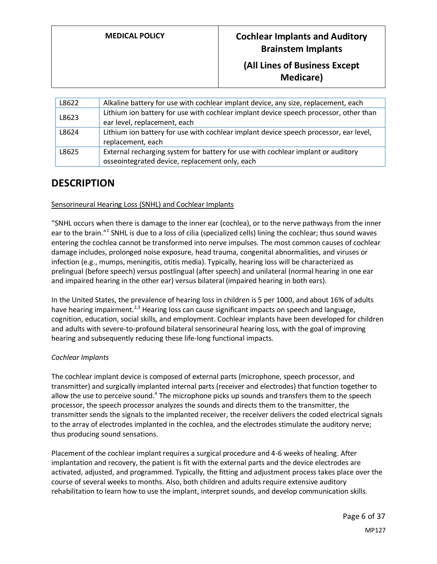| L8622 | Alkaline battery for use with cochlear implant device, any size, replacement, each                                                 |
|-------|------------------------------------------------------------------------------------------------------------------------------------|
| L8623 | Lithium ion battery for use with cochlear implant device speech processor, other than<br>ear level, replacement, each              |
| L8624 | Lithium ion battery for use with cochlear implant device speech processor, ear level,<br>replacement, each                         |
| L8625 | External recharging system for battery for use with cochlear implant or auditory<br>osseointegrated device, replacement only, each |

# **DESCRIPTION**

### Sensorineural Hearing Loss (SNHL) and Cochlear Implants

"SNHL occurs when there is damage to the inner ear (cochlea), or to the nerve pathways from the inner ear to the brain."<sup>1</sup> SNHL is due to a loss of cilia (specialized cells) lining the cochlear; thus sound waves entering the cochlea cannot be transformed into nerve impulses. The most common causes of cochlear damage includes, prolonged noise exposure, head trauma, congenital abnormalities, and viruses or infection (e.g., mumps, meningitis, otitis media). Typically, hearing loss will be characterized as prelingual (before speech) versus postlingual (after speech) and unilateral (normal hearing in one ear and impaired hearing in the other ear) versus bilateral (impaired hearing in both ears).

In the United States, the prevalence of hearing loss in children is 5 per 1000, and about 16% of adults have hearing impairment.<sup>2,3</sup> Hearing loss can cause significant impacts on speech and language, cognition, education, social skills, and employment. Cochlear implants have been developed for children and adults with severe-to-profound bilateral sensorineural hearing loss, with the goal of improving hearing and subsequently reducing these life-long functional impacts.

### *Cochlear Implants*

The cochlear implant device is composed of external parts (microphone, speech processor, and transmitter) and surgically implanted internal parts (receiver and electrodes) that function together to allow the use to perceive sound.<sup>4</sup> The microphone picks up sounds and transfers them to the speech processor, the speech processor analyzes the sounds and directs them to the transmitter, the transmitter sends the signals to the implanted receiver, the receiver delivers the coded electrical signals to the array of electrodes implanted in the cochlea, and the electrodes stimulate the auditory nerve; thus producing sound sensations.

Placement of the cochlear implant requires a surgical procedure and 4-6 weeks of healing. After implantation and recovery, the patient is fit with the external parts and the device electrodes are activated, adjusted, and programmed. Typically, the fitting and adjustment process takes place over the course of several weeks to months. Also, both children and adults require extensive auditory rehabilitation to learn how to use the implant, interpret sounds, and develop communication skills.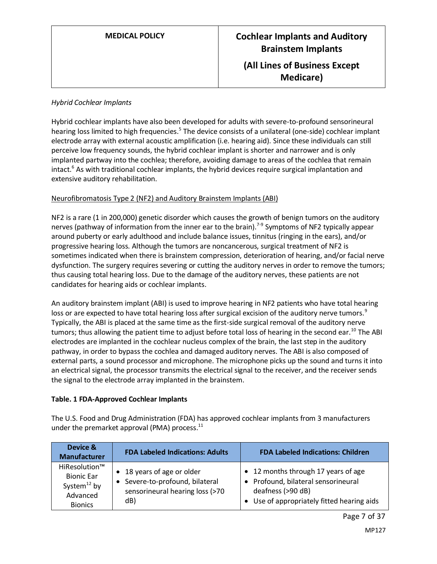### *Hybrid Cochlear Implants*

Hybrid cochlear implants have also been developed for adults with severe-to-profound sensorineural hearing loss limited to high frequencies.<sup>5</sup> The device consists of a unilateral (one-side) cochlear implant electrode array with external acoustic amplification (i.e. hearing aid). Since these individuals can still perceive low frequency sounds, the hybrid cochlear implant is shorter and narrower and is only implanted partway into the cochlea; therefore, avoiding damage to areas of the cochlea that remain intact.<sup>6</sup> As with traditional cochlear implants, the hybrid devices require surgical implantation and extensive auditory rehabilitation.

### Neurofibromatosis Type 2 (NF2) and Auditory Brainstem Implants (ABI)

NF2 is a rare (1 in 200,000) genetic disorder which causes the growth of benign tumors on the auditory nerves (pathway of information from the inner ear to the brain).<sup>7-9</sup> Symptoms of NF2 typically appear around puberty or early adulthood and include balance issues, tinnitus (ringing in the ears), and/or progressive hearing loss. Although the tumors are noncancerous, surgical treatment of NF2 is sometimes indicated when there is brainstem compression, deterioration of hearing, and/or facial nerve dysfunction. The surgery requires severing or cutting the auditory nerves in order to remove the tumors; thus causing total hearing loss. Due to the damage of the auditory nerves, these patients are not candidates for hearing aids or cochlear implants.

An auditory brainstem implant (ABI) is used to improve hearing in NF2 patients who have total hearing loss or are expected to have total hearing loss after surgical excision of the auditory nerve tumors.<sup>9</sup> Typically, the ABI is placed at the same time as the first-side surgical removal of the auditory nerve tumors; thus allowing the patient time to adjust before total loss of hearing in the second ear.<sup>10</sup> The ABI electrodes are implanted in the cochlear nucleus complex of the brain, the last step in the auditory pathway, in order to bypass the cochlea and damaged auditory nerves. The ABI is also composed of external parts, a sound processor and microphone. The microphone picks up the sound and turns it into an electrical signal, the processor transmits the electrical signal to the receiver, and the receiver sends the signal to the electrode array implanted in the brainstem.

### <span id="page-6-0"></span>**Table. 1 FDA-Approved Cochlear Implants**

The U.S. Food and Drug Administration (FDA) has approved cochlear implants from 3 manufacturers under the premarket approval (PMA) process.<sup>11</sup>

| Device &<br><b>Manufacturer</b>                                                       | <b>FDA Labeled Indications: Adults</b>                                                                | <b>FDA Labeled Indications: Children</b>                                                                                                               |
|---------------------------------------------------------------------------------------|-------------------------------------------------------------------------------------------------------|--------------------------------------------------------------------------------------------------------------------------------------------------------|
| HiResolution™<br><b>Bionic Ear</b><br>System $^{12}$ by<br>Advanced<br><b>Bionics</b> | • 18 years of age or older<br>Severe-to-profound, bilateral<br>sensorineural hearing loss (>70<br>dB) | • 12 months through 17 years of age<br>Profound, bilateral sensorineural<br>$\bullet$<br>deafness (>90 dB)<br>Use of appropriately fitted hearing aids |

MP127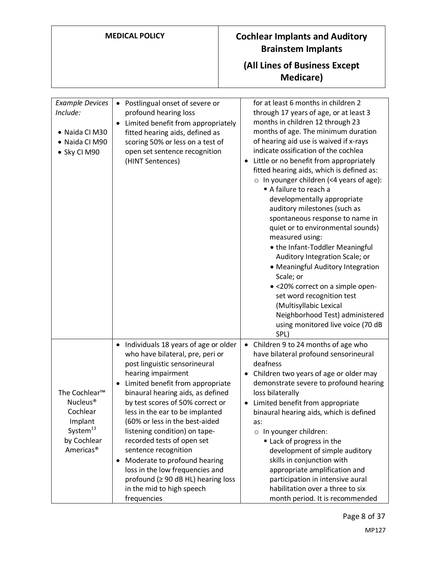**Medicare)**

| <b>Example Devices</b><br>Include:<br>• Naida CI M30<br>• Naida CI M90<br>· Sky CI M90                                                   | Postlingual onset of severe or<br>$\bullet$<br>profound hearing loss<br>Limited benefit from appropriately<br>fitted hearing aids, defined as<br>scoring 50% or less on a test of<br>open set sentence recognition<br>(HINT Sentences)                                                                                                                                                                                                                                                                                                                                           | for at least 6 months in children 2<br>through 17 years of age, or at least 3<br>months in children 12 through 23<br>months of age. The minimum duration<br>of hearing aid use is waived if x-rays<br>indicate ossification of the cochlea<br>Little or no benefit from appropriately<br>fitted hearing aids, which is defined as:<br>$\circ$ In younger children (<4 years of age):<br>A failure to reach a<br>developmentally appropriate<br>auditory milestones (such as<br>spontaneous response to name in<br>quiet or to environmental sounds)<br>measured using:<br>• the Infant-Toddler Meaningful<br>Auditory Integration Scale; or<br>• Meaningful Auditory Integration<br>Scale; or<br>• <20% correct on a simple open-<br>set word recognition test<br>(Multisyllabic Lexical<br>Neighborhood Test) administered<br>using monitored live voice (70 dB<br>SPL) |
|------------------------------------------------------------------------------------------------------------------------------------------|----------------------------------------------------------------------------------------------------------------------------------------------------------------------------------------------------------------------------------------------------------------------------------------------------------------------------------------------------------------------------------------------------------------------------------------------------------------------------------------------------------------------------------------------------------------------------------|--------------------------------------------------------------------------------------------------------------------------------------------------------------------------------------------------------------------------------------------------------------------------------------------------------------------------------------------------------------------------------------------------------------------------------------------------------------------------------------------------------------------------------------------------------------------------------------------------------------------------------------------------------------------------------------------------------------------------------------------------------------------------------------------------------------------------------------------------------------------------|
| The Cochlear <sup>™</sup><br>Nucleus <sup>®</sup><br>Cochlear<br>Implant<br>System <sup>13</sup><br>by Cochlear<br>Americas <sup>®</sup> | Individuals 18 years of age or older<br>$\bullet$<br>who have bilateral, pre, peri or<br>post linguistic sensorineural<br>hearing impairment<br>Limited benefit from appropriate<br>binaural hearing aids, as defined<br>by test scores of 50% correct or<br>less in the ear to be implanted<br>(60% or less in the best-aided<br>listening condition) on tape-<br>recorded tests of open set<br>sentence recognition<br>Moderate to profound hearing<br>loss in the low frequencies and<br>profound ( $\geq$ 90 dB HL) hearing loss<br>in the mid to high speech<br>frequencies | Children 9 to 24 months of age who<br>$\bullet$<br>have bilateral profound sensorineural<br>deafness<br>Children two years of age or older may<br>demonstrate severe to profound hearing<br>loss bilaterally<br>Limited benefit from appropriate<br>binaural hearing aids, which is defined<br>as:<br>o In younger children:<br>Lack of progress in the<br>development of simple auditory<br>skills in conjunction with<br>appropriate amplification and<br>participation in intensive aural<br>habilitation over a three to six<br>month period. It is recommended                                                                                                                                                                                                                                                                                                      |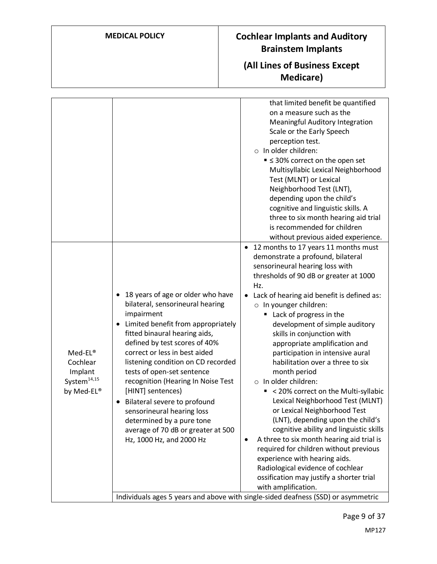# **(All Lines of Business Except Medicare)**

|                                                                         |                                                                                                                                                                                                                                                                                                                                                                                                                                                                                                                                            | that limited benefit be quantified<br>on a measure such as the<br>Meaningful Auditory Integration<br>Scale or the Early Speech<br>perception test.<br>o In older children:<br>■ $\leq$ 30% correct on the open set<br>Multisyllabic Lexical Neighborhood<br>Test (MLNT) or Lexical<br>Neighborhood Test (LNT),<br>depending upon the child's<br>cognitive and linguistic skills. A<br>three to six month hearing aid trial<br>is recommended for children<br>without previous aided experience.                                                                                                                                                                                                                                                                                                                                                                                                                                   |
|-------------------------------------------------------------------------|--------------------------------------------------------------------------------------------------------------------------------------------------------------------------------------------------------------------------------------------------------------------------------------------------------------------------------------------------------------------------------------------------------------------------------------------------------------------------------------------------------------------------------------------|-----------------------------------------------------------------------------------------------------------------------------------------------------------------------------------------------------------------------------------------------------------------------------------------------------------------------------------------------------------------------------------------------------------------------------------------------------------------------------------------------------------------------------------------------------------------------------------------------------------------------------------------------------------------------------------------------------------------------------------------------------------------------------------------------------------------------------------------------------------------------------------------------------------------------------------|
| Med-EL®<br>Cochlear<br>Implant<br>System <sup>14,15</sup><br>by Med-EL® | 18 years of age or older who have<br>٠<br>bilateral, sensorineural hearing<br>impairment<br>Limited benefit from appropriately<br>fitted binaural hearing aids,<br>defined by test scores of 40%<br>correct or less in best aided<br>listening condition on CD recorded<br>tests of open-set sentence<br>recognition (Hearing In Noise Test<br>[HINT] sentences)<br>Bilateral severe to profound<br>$\bullet$<br>sensorineural hearing loss<br>determined by a pure tone<br>average of 70 dB or greater at 500<br>Hz, 1000 Hz, and 2000 Hz | 12 months to 17 years 11 months must<br>٠<br>demonstrate a profound, bilateral<br>sensorineural hearing loss with<br>thresholds of 90 dB or greater at 1000<br>Hz.<br>Lack of hearing aid benefit is defined as:<br>$\circ$ In younger children:<br>Lack of progress in the<br>٠<br>development of simple auditory<br>skills in conjunction with<br>appropriate amplification and<br>participation in intensive aural<br>habilitation over a three to six<br>month period<br>o In older children:<br>< 20% correct on the Multi-syllabic<br>Lexical Neighborhood Test (MLNT)<br>or Lexical Neighborhood Test<br>(LNT), depending upon the child's<br>cognitive ability and linguistic skills<br>A three to six month hearing aid trial is<br>٠<br>required for children without previous<br>experience with hearing aids.<br>Radiological evidence of cochlear<br>ossification may justify a shorter trial<br>with amplification. |
|                                                                         |                                                                                                                                                                                                                                                                                                                                                                                                                                                                                                                                            | Individuals ages 5 years and above with single-sided deafness (SSD) or asymmetric                                                                                                                                                                                                                                                                                                                                                                                                                                                                                                                                                                                                                                                                                                                                                                                                                                                 |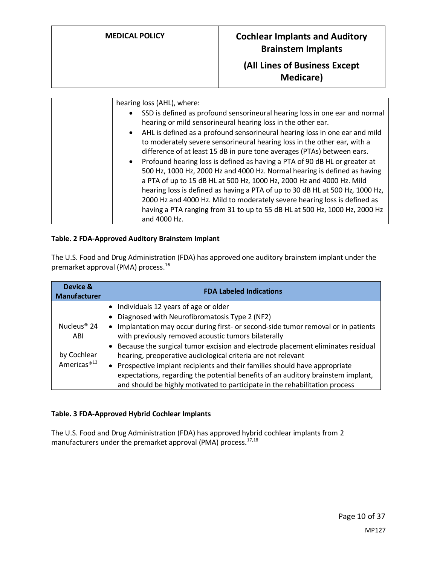# **(All Lines of Business Except Medicare)**

| hearing loss (AHL), where:                                                    |
|-------------------------------------------------------------------------------|
| SSD is defined as profound sensorineural hearing loss in one ear and normal   |
| hearing or mild sensorineural hearing loss in the other ear.                  |
| • AHL is defined as a profound sensorineural hearing loss in one ear and mild |
| to moderately severe sensorineural hearing loss in the other ear, with a      |
| difference of at least 15 dB in pure tone averages (PTAs) between ears.       |
| • Profound hearing loss is defined as having a PTA of 90 dB HL or greater at  |
| 500 Hz, 1000 Hz, 2000 Hz and 4000 Hz. Normal hearing is defined as having     |
| a PTA of up to 15 dB HL at 500 Hz, 1000 Hz, 2000 Hz and 4000 Hz. Mild         |
| hearing loss is defined as having a PTA of up to 30 dB HL at 500 Hz, 1000 Hz, |
| 2000 Hz and 4000 Hz. Mild to moderately severe hearing loss is defined as     |
| having a PTA ranging from 31 to up to 55 dB HL at 500 Hz, 1000 Hz, 2000 Hz    |
| and 4000 Hz.                                                                  |

### <span id="page-9-0"></span>**Table. 2 FDA-Approved Auditory Brainstem Implant**

The U.S. Food and Drug Administration (FDA) has approved one auditory brainstem implant under the premarket approval (PMA) process. 16

| Device &<br><b>Manufacturer</b> | <b>FDA Labeled Indications</b>                                                                |
|---------------------------------|-----------------------------------------------------------------------------------------------|
|                                 | Individuals 12 years of age or older                                                          |
|                                 | Diagnosed with Neurofibromatosis Type 2 (NF2)                                                 |
| Nucleus <sup>®</sup> 24         | Implantation may occur during first- or second-side tumor removal or in patients<br>$\bullet$ |
| ABI                             | with previously removed acoustic tumors bilaterally                                           |
|                                 | Because the surgical tumor excision and electrode placement eliminates residual               |
| by Cochlear                     | hearing, preoperative audiological criteria are not relevant                                  |
| Americas <sup>®13</sup>         | Prospective implant recipients and their families should have appropriate<br>$\bullet$        |
|                                 | expectations, regarding the potential benefits of an auditory brainstem implant,              |
|                                 | and should be highly motivated to participate in the rehabilitation process                   |

### <span id="page-9-1"></span>**Table. 3 FDA-Approved Hybrid Cochlear Implants**

The U.S. Food and Drug Administration (FDA) has approved hybrid cochlear implants from 2 manufacturers under the premarket approval (PMA) process.<sup>17,18</sup>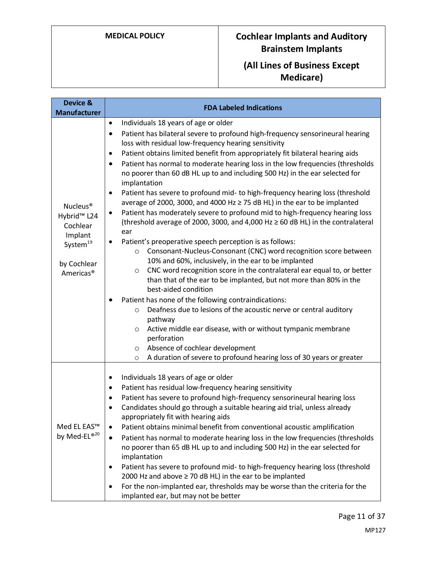# **(All Lines of Business Except Medicare)**

| Device &<br><b>Manufacturer</b>                                                                                                        | <b>FDA Labeled Indications</b>                                                                                                                                                                                                                                                                                                                                                                                                                                                                                                                                                                                                                                                                                                                                                                                                                                                                                                                                                                                                                                                                                                                                                                                                                                                                                                                                                                                                                                                                                                                                                                         |  |
|----------------------------------------------------------------------------------------------------------------------------------------|--------------------------------------------------------------------------------------------------------------------------------------------------------------------------------------------------------------------------------------------------------------------------------------------------------------------------------------------------------------------------------------------------------------------------------------------------------------------------------------------------------------------------------------------------------------------------------------------------------------------------------------------------------------------------------------------------------------------------------------------------------------------------------------------------------------------------------------------------------------------------------------------------------------------------------------------------------------------------------------------------------------------------------------------------------------------------------------------------------------------------------------------------------------------------------------------------------------------------------------------------------------------------------------------------------------------------------------------------------------------------------------------------------------------------------------------------------------------------------------------------------------------------------------------------------------------------------------------------------|--|
| Nucleus <sup>®</sup><br>Hybrid <sup>™</sup> L24<br>Cochlear<br>Implant<br>System <sup>19</sup><br>by Cochlear<br>Americas <sup>®</sup> | Individuals 18 years of age or older<br>$\bullet$<br>Patient has bilateral severe to profound high-frequency sensorineural hearing<br>٠<br>loss with residual low-frequency hearing sensitivity<br>Patient obtains limited benefit from appropriately fit bilateral hearing aids<br>٠<br>Patient has normal to moderate hearing loss in the low frequencies (thresholds<br>٠<br>no poorer than 60 dB HL up to and including 500 Hz) in the ear selected for<br>implantation<br>Patient has severe to profound mid- to high-frequency hearing loss (threshold<br>٠<br>average of 2000, 3000, and 4000 Hz ≥ 75 dB HL) in the ear to be implanted<br>Patient has moderately severe to profound mid to high-frequency hearing loss<br>٠<br>(threshold average of 2000, 3000, and 4,000 Hz $\geq$ 60 dB HL) in the contralateral<br>ear<br>Patient's preoperative speech perception is as follows:<br>Consonant-Nucleus-Consonant (CNC) word recognition score between<br>$\circ$<br>10% and 60%, inclusively, in the ear to be implanted<br>CNC word recognition score in the contralateral ear equal to, or better<br>$\circ$<br>than that of the ear to be implanted, but not more than 80% in the<br>best-aided condition<br>Patient has none of the following contraindications:<br>Deafness due to lesions of the acoustic nerve or central auditory<br>$\circ$<br>pathway<br>Active middle ear disease, with or without tympanic membrane<br>$\circ$<br>perforation<br>Absence of cochlear development<br>$\circ$<br>A duration of severe to profound hearing loss of 30 years or greater<br>$\circ$ |  |
| Med EL EAS™<br>by Med-EL®20                                                                                                            | Individuals 18 years of age or older<br>٠<br>Patient has residual low-frequency hearing sensitivity<br>٠<br>Patient has severe to profound high-frequency sensorineural hearing loss<br>٠<br>Candidates should go through a suitable hearing aid trial, unless already<br>٠<br>appropriately fit with hearing aids<br>Patient obtains minimal benefit from conventional acoustic amplification<br>$\bullet$<br>Patient has normal to moderate hearing loss in the low frequencies (thresholds<br>$\bullet$<br>no poorer than 65 dB HL up to and including 500 Hz) in the ear selected for<br>implantation<br>Patient has severe to profound mid- to high-frequency hearing loss (threshold<br>٠<br>2000 Hz and above $\geq$ 70 dB HL) in the ear to be implanted<br>For the non-implanted ear, thresholds may be worse than the criteria for the<br>$\bullet$<br>implanted ear, but may not be better                                                                                                                                                                                                                                                                                                                                                                                                                                                                                                                                                                                                                                                                                                  |  |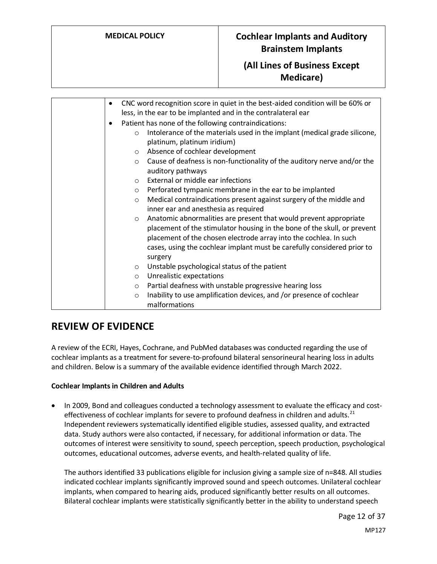# **(All Lines of Business Except Medicare)**

| $\bullet$ | CNC word recognition score in quiet in the best-aided condition will be 60% or<br>less, in the ear to be implanted and in the contralateral ear                                                                                                                                                                     |
|-----------|---------------------------------------------------------------------------------------------------------------------------------------------------------------------------------------------------------------------------------------------------------------------------------------------------------------------|
| $\bullet$ | Patient has none of the following contraindications:                                                                                                                                                                                                                                                                |
|           | Intolerance of the materials used in the implant (medical grade silicone,<br>$\circ$<br>platinum, platinum iridium)                                                                                                                                                                                                 |
|           | Absence of cochlear development<br>$\circ$                                                                                                                                                                                                                                                                          |
|           | Cause of deafness is non-functionality of the auditory nerve and/or the<br>$\circ$<br>auditory pathways                                                                                                                                                                                                             |
|           | External or middle ear infections<br>$\Omega$                                                                                                                                                                                                                                                                       |
|           | Perforated tympanic membrane in the ear to be implanted<br>$\circ$                                                                                                                                                                                                                                                  |
|           | Medical contraindications present against surgery of the middle and<br>$\circ$<br>inner ear and anesthesia as required                                                                                                                                                                                              |
|           | Anatomic abnormalities are present that would prevent appropriate<br>$\circ$<br>placement of the stimulator housing in the bone of the skull, or prevent<br>placement of the chosen electrode array into the cochlea. In such<br>cases, using the cochlear implant must be carefully considered prior to<br>surgery |
|           | Unstable psychological status of the patient<br>$\circ$                                                                                                                                                                                                                                                             |
|           | Unrealistic expectations<br>$\circ$                                                                                                                                                                                                                                                                                 |
|           | Partial deafness with unstable progressive hearing loss<br>$\circ$                                                                                                                                                                                                                                                  |
|           | Inability to use amplification devices, and /or presence of cochlear<br>$\circ$                                                                                                                                                                                                                                     |
|           | malformations                                                                                                                                                                                                                                                                                                       |

# **REVIEW OF EVIDENCE**

A review of the ECRI, Hayes, Cochrane, and PubMed databases was conducted regarding the use of cochlear implants as a treatment for severe-to-profound bilateral sensorineural hearing loss in adults and children. Below is a summary of the available evidence identified through March 2022.

### **Cochlear Implants in Children and Adults**

• In 2009, Bond and colleagues conducted a technology assessment to evaluate the efficacy and costeffectiveness of cochlear implants for severe to profound deafness in children and adults. $^{21}$ Independent reviewers systematically identified eligible studies, assessed quality, and extracted data. Study authors were also contacted, if necessary, for additional information or data. The outcomes of interest were sensitivity to sound, speech perception, speech production, psychological outcomes, educational outcomes, adverse events, and health-related quality of life.

The authors identified 33 publications eligible for inclusion giving a sample size of n=848. All studies indicated cochlear implants significantly improved sound and speech outcomes. Unilateral cochlear implants, when compared to hearing aids, produced significantly better results on all outcomes. Bilateral cochlear implants were statistically significantly better in the ability to understand speech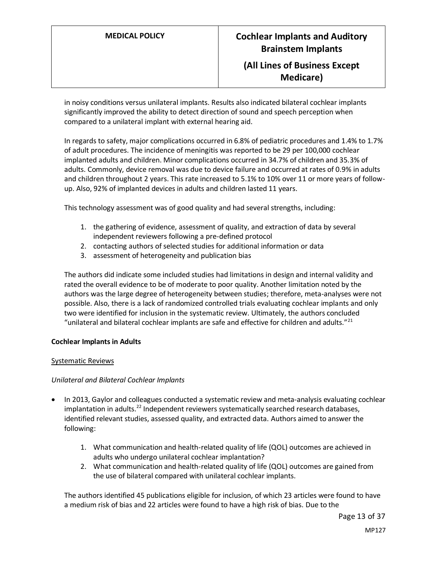in noisy conditions versus unilateral implants. Results also indicated bilateral cochlear implants significantly improved the ability to detect direction of sound and speech perception when compared to a unilateral implant with external hearing aid.

In regards to safety, major complications occurred in 6.8% of pediatric procedures and 1.4% to 1.7% of adult procedures. The incidence of meningitis was reported to be 29 per 100,000 cochlear implanted adults and children. Minor complications occurred in 34.7% of children and 35.3% of adults. Commonly, device removal was due to device failure and occurred at rates of 0.9% in adults and children throughout 2 years. This rate increased to 5.1% to 10% over 11 or more years of followup. Also, 92% of implanted devices in adults and children lasted 11 years.

This technology assessment was of good quality and had several strengths, including:

- 1. the gathering of evidence, assessment of quality, and extraction of data by several independent reviewers following a pre-defined protocol
- 2. contacting authors of selected studies for additional information or data
- 3. assessment of heterogeneity and publication bias

The authors did indicate some included studies had limitations in design and internal validity and rated the overall evidence to be of moderate to poor quality. Another limitation noted by the authors was the large degree of heterogeneity between studies; therefore, meta-analyses were not possible. Also, there is a lack of randomized controlled trials evaluating cochlear implants and only two were identified for inclusion in the systematic review. Ultimately, the authors concluded "unilateral and bilateral cochlear implants are safe and effective for children and adults." $^{21}$ 

### **Cochlear Implants in Adults**

### Systematic Reviews

### *Unilateral and Bilateral Cochlear Implants*

- In 2013, Gaylor and colleagues conducted a systematic review and meta-analysis evaluating cochlear implantation in adults.<sup>22</sup> Independent reviewers systematically searched research databases, identified relevant studies, assessed quality, and extracted data. Authors aimed to answer the following:
	- 1. What communication and health-related quality of life (QOL) outcomes are achieved in adults who undergo unilateral cochlear implantation?
	- 2. What communication and health-related quality of life (QOL) outcomes are gained from the use of bilateral compared with unilateral cochlear implants.

The authors identified 45 publications eligible for inclusion, of which 23 articles were found to have a medium risk of bias and 22 articles were found to have a high risk of bias. Due to the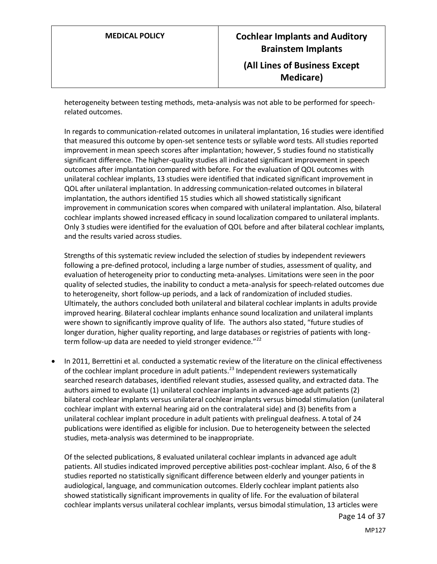heterogeneity between testing methods, meta-analysis was not able to be performed for speechrelated outcomes.

In regards to communication-related outcomes in unilateral implantation, 16 studies were identified that measured this outcome by open-set sentence tests or syllable word tests. All studies reported improvement in mean speech scores after implantation; however, 5 studies found no statistically significant difference. The higher-quality studies all indicated significant improvement in speech outcomes after implantation compared with before. For the evaluation of QOL outcomes with unilateral cochlear implants, 13 studies were identified that indicated significant improvement in QOL after unilateral implantation. In addressing communication-related outcomes in bilateral implantation, the authors identified 15 studies which all showed statistically significant improvement in communication scores when compared with unilateral implantation. Also, bilateral cochlear implants showed increased efficacy in sound localization compared to unilateral implants. Only 3 studies were identified for the evaluation of QOL before and after bilateral cochlear implants, and the results varied across studies.

Strengths of this systematic review included the selection of studies by independent reviewers following a pre-defined protocol, including a large number of studies, assessment of quality, and evaluation of heterogeneity prior to conducting meta-analyses. Limitations were seen in the poor quality of selected studies, the inability to conduct a meta-analysis for speech-related outcomes due to heterogeneity, short follow-up periods, and a lack of randomization of included studies. Ultimately, the authors concluded both unilateral and bilateral cochlear implants in adults provide improved hearing. Bilateral cochlear implants enhance sound localization and unilateral implants were shown to significantly improve quality of life. The authors also stated, "future studies of longer duration, higher quality reporting, and large databases or registries of patients with longterm follow-up data are needed to yield stronger evidence." $^{22}$ 

• In 2011, Berrettini et al. conducted a systematic review of the literature on the clinical effectiveness of the cochlear implant procedure in adult patients.<sup>23</sup> Independent reviewers systematically searched research databases, identified relevant studies, assessed quality, and extracted data. The authors aimed to evaluate (1) unilateral cochlear implants in advanced-age adult patients (2) bilateral cochlear implants versus unilateral cochlear implants versus bimodal stimulation (unilateral cochlear implant with external hearing aid on the contralateral side) and (3) benefits from a unilateral cochlear implant procedure in adult patients with prelingual deafness. A total of 24 publications were identified as eligible for inclusion. Due to heterogeneity between the selected studies, meta-analysis was determined to be inappropriate.

Of the selected publications, 8 evaluated unilateral cochlear implants in advanced age adult patients. All studies indicated improved perceptive abilities post-cochlear implant. Also, 6 of the 8 studies reported no statistically significant difference between elderly and younger patients in audiological, language, and communication outcomes. Elderly cochlear implant patients also showed statistically significant improvements in quality of life. For the evaluation of bilateral cochlear implants versus unilateral cochlear implants, versus bimodal stimulation, 13 articles were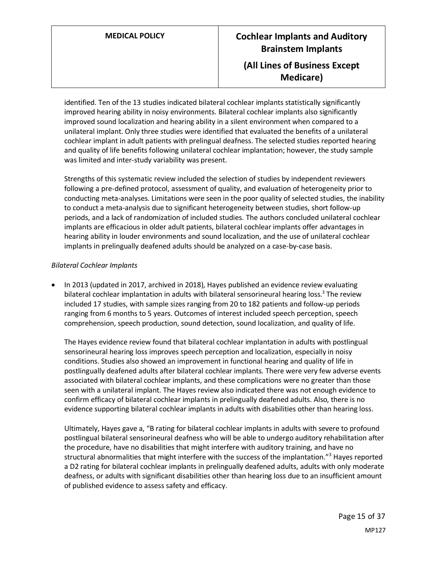identified. Ten of the 13 studies indicated bilateral cochlear implants statistically significantly improved hearing ability in noisy environments. Bilateral cochlear implants also significantly improved sound localization and hearing ability in a silent environment when compared to a unilateral implant. Only three studies were identified that evaluated the benefits of a unilateral cochlear implant in adult patients with prelingual deafness. The selected studies reported hearing and quality of life benefits following unilateral cochlear implantation; however, the study sample was limited and inter-study variability was present.

Strengths of this systematic review included the selection of studies by independent reviewers following a pre-defined protocol, assessment of quality, and evaluation of heterogeneity prior to conducting meta-analyses. Limitations were seen in the poor quality of selected studies, the inability to conduct a meta-analysis due to significant heterogeneity between studies, short follow-up periods, and a lack of randomization of included studies. The authors concluded unilateral cochlear implants are efficacious in older adult patients, bilateral cochlear implants offer advantages in hearing ability in louder environments and sound localization, and the use of unilateral cochlear implants in prelingually deafened adults should be analyzed on a case-by-case basis.

### *Bilateral Cochlear Implants*

• In 2013 (updated in 2017, archived in 2018), Hayes published an evidence review evaluating bilateral cochlear implantation in adults with bilateral sensorineural hearing loss.<sup>3</sup> The review included 17 studies, with sample sizes ranging from 20 to 182 patients and follow-up periods ranging from 6 months to 5 years. Outcomes of interest included speech perception, speech comprehension, speech production, sound detection, sound localization, and quality of life.

The Hayes evidence review found that bilateral cochlear implantation in adults with postlingual sensorineural hearing loss improves speech perception and localization, especially in noisy conditions. Studies also showed an improvement in functional hearing and quality of life in postlingually deafened adults after bilateral cochlear implants. There were very few adverse events associated with bilateral cochlear implants, and these complications were no greater than those seen with a unilateral implant. The Hayes review also indicated there was not enough evidence to confirm efficacy of bilateral cochlear implants in prelingually deafened adults. Also, there is no evidence supporting bilateral cochlear implants in adults with disabilities other than hearing loss.

Ultimately, Hayes gave a, "B rating for bilateral cochlear implants in adults with severe to profound postlingual bilateral sensorineural deafness who will be able to undergo auditory rehabilitation after the procedure, have no disabilities that might interfere with auditory training, and have no structural abnormalities that might interfere with the success of the implantation."<sup>3</sup> Hayes reported a D2 rating for bilateral cochlear implants in prelingually deafened adults, adults with only moderate deafness, or adults with significant disabilities other than hearing loss due to an insufficient amount of published evidence to assess safety and efficacy.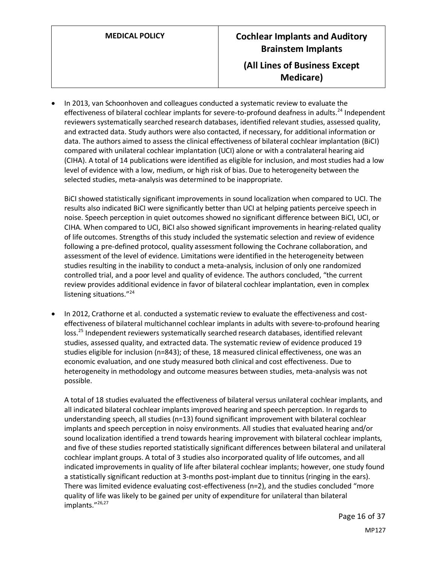# **MEDICAL POLICY Cochlear Implants and Auditory Brainstem Implants (All Lines of Business Except Medicare)**

• In 2013, van Schoonhoven and colleagues conducted a systematic review to evaluate the effectiveness of bilateral cochlear implants for severe-to-profound deafness in adults.<sup>24</sup> Independent reviewers systematically searched research databases, identified relevant studies, assessed quality, and extracted data. Study authors were also contacted, if necessary, for additional information or data. The authors aimed to assess the clinical effectiveness of bilateral cochlear implantation (BiCI) compared with unilateral cochlear implantation (UCI) alone or with a contralateral hearing aid (CIHA). A total of 14 publications were identified as eligible for inclusion, and most studies had a low level of evidence with a low, medium, or high risk of bias. Due to heterogeneity between the selected studies, meta-analysis was determined to be inappropriate.

BiCI showed statistically significant improvements in sound localization when compared to UCI. The results also indicated BiCI were significantly better than UCI at helping patients perceive speech in noise. Speech perception in quiet outcomes showed no significant difference between BiCI, UCI, or CIHA. When compared to UCI, BiCI also showed significant improvements in hearing-related quality of life outcomes. Strengths of this study included the systematic selection and review of evidence following a pre-defined protocol, quality assessment following the Cochrane collaboration, and assessment of the level of evidence. Limitations were identified in the heterogeneity between studies resulting in the inability to conduct a meta-analysis, inclusion of only one randomized controlled trial, and a poor level and quality of evidence. The authors concluded, "the current review provides additional evidence in favor of bilateral cochlear implantation, even in complex listening situations."<sup>24</sup>

• In 2012, Crathorne et al. conducted a systematic review to evaluate the effectiveness and costeffectiveness of bilateral multichannel cochlear implants in adults with severe-to-profound hearing loss.<sup>25</sup> Independent reviewers systematically searched research databases, identified relevant studies, assessed quality, and extracted data. The systematic review of evidence produced 19 studies eligible for inclusion (n=843); of these, 18 measured clinical effectiveness, one was an economic evaluation, and one study measured both clinical and cost effectiveness. Due to heterogeneity in methodology and outcome measures between studies, meta-analysis was not possible.

A total of 18 studies evaluated the effectiveness of bilateral versus unilateral cochlear implants, and all indicated bilateral cochlear implants improved hearing and speech perception. In regards to understanding speech, all studies (n=13) found significant improvement with bilateral cochlear implants and speech perception in noisy environments. All studies that evaluated hearing and/or sound localization identified a trend towards hearing improvement with bilateral cochlear implants, and five of these studies reported statistically significant differences between bilateral and unilateral cochlear implant groups. A total of 3 studies also incorporated quality of life outcomes, and all indicated improvements in quality of life after bilateral cochlear implants; however, one study found a statistically significant reduction at 3-months post-implant due to tinnitus (ringing in the ears). There was limited evidence evaluating cost-effectiveness (n=2), and the studies concluded "more quality of life was likely to be gained per unity of expenditure for unilateral than bilateral implants."<sup>26,27</sup>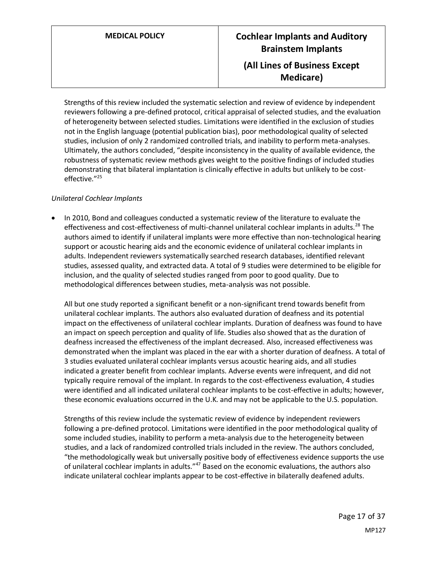# **MEDICAL POLICY Cochlear Implants and Auditory Brainstem Implants (All Lines of Business Except Medicare)**

Strengths of this review included the systematic selection and review of evidence by independent reviewers following a pre-defined protocol, critical appraisal of selected studies, and the evaluation of heterogeneity between selected studies. Limitations were identified in the exclusion of studies not in the English language (potential publication bias), poor methodological quality of selected studies, inclusion of only 2 randomized controlled trials, and inability to perform meta-analyses. Ultimately, the authors concluded, "despite inconsistency in the quality of available evidence, the robustness of systematic review methods gives weight to the positive findings of included studies demonstrating that bilateral implantation is clinically effective in adults but unlikely to be costeffective."<sup>25</sup>

### *Unilateral Cochlear Implants*

• In 2010, Bond and colleagues conducted a systematic review of the literature to evaluate the effectiveness and cost-effectiveness of multi-channel unilateral cochlear implants in adults.<sup>28</sup> The authors aimed to identify if unilateral implants were more effective than non-technological hearing support or acoustic hearing aids and the economic evidence of unilateral cochlear implants in adults. Independent reviewers systematically searched research databases, identified relevant studies, assessed quality, and extracted data. A total of 9 studies were determined to be eligible for inclusion, and the quality of selected studies ranged from poor to good quality. Due to methodological differences between studies, meta-analysis was not possible.

All but one study reported a significant benefit or a non-significant trend towards benefit from unilateral cochlear implants. The authors also evaluated duration of deafness and its potential impact on the effectiveness of unilateral cochlear implants. Duration of deafness was found to have an impact on speech perception and quality of life. Studies also showed that as the duration of deafness increased the effectiveness of the implant decreased. Also, increased effectiveness was demonstrated when the implant was placed in the ear with a shorter duration of deafness. A total of 3 studies evaluated unilateral cochlear implants versus acoustic hearing aids, and all studies indicated a greater benefit from cochlear implants. Adverse events were infrequent, and did not typically require removal of the implant. In regards to the cost-effectiveness evaluation, 4 studies were identified and all indicated unilateral cochlear implants to be cost-effective in adults; however, these economic evaluations occurred in the U.K. and may not be applicable to the U.S. population.

Strengths of this review include the systematic review of evidence by independent reviewers following a pre-defined protocol. Limitations were identified in the poor methodological quality of some included studies, inability to perform a meta-analysis due to the heterogeneity between studies, and a lack of randomized controlled trials included in the review. The authors concluded, "the methodologically weak but universally positive body of effectiveness evidence supports the use of unilateral cochlear implants in adults."<sup>47</sup> Based on the economic evaluations, the authors also indicate unilateral cochlear implants appear to be cost-effective in bilaterally deafened adults.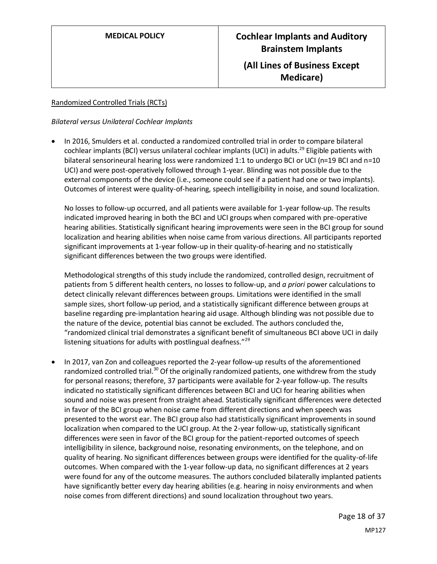### Randomized Controlled Trials (RCTs)

### *Bilateral versus Unilateral Cochlear Implants*

• In 2016, Smulders et al. conducted a randomized controlled trial in order to compare bilateral cochlear implants (BCI) versus unilateral cochlear implants (UCI) in adults.<sup>29</sup> Eligible patients with bilateral sensorineural hearing loss were randomized 1:1 to undergo BCI or UCI (n=19 BCI and n=10 UCI) and were post-operatively followed through 1-year. Blinding was not possible due to the external components of the device (i.e., someone could see if a patient had one or two implants). Outcomes of interest were quality-of-hearing, speech intelligibility in noise, and sound localization.

No losses to follow-up occurred, and all patients were available for 1-year follow-up. The results indicated improved hearing in both the BCI and UCI groups when compared with pre-operative hearing abilities. Statistically significant hearing improvements were seen in the BCI group for sound localization and hearing abilities when noise came from various directions. All participants reported significant improvements at 1-year follow-up in their quality-of-hearing and no statistically significant differences between the two groups were identified.

Methodological strengths of this study include the randomized, controlled design, recruitment of patients from 5 different health centers, no losses to follow-up, and *a priori* power calculations to detect clinically relevant differences between groups. Limitations were identified in the small sample sizes, short follow-up period, and a statistically significant difference between groups at baseline regarding pre-implantation hearing aid usage. Although blinding was not possible due to the nature of the device, potential bias cannot be excluded. The authors concluded the, "randomized clinical trial demonstrates a significant benefit of simultaneous BCI above UCI in daily listening situations for adults with postlingual deafness."<sup>29</sup>

• In 2017, van Zon and colleagues reported the 2-year follow-up results of the aforementioned randomized controlled trial.<sup>30</sup> Of the originally randomized patients, one withdrew from the study for personal reasons; therefore, 37 participants were available for 2-year follow-up. The results indicated no statistically significant differences between BCI and UCI for hearing abilities when sound and noise was present from straight ahead. Statistically significant differences were detected in favor of the BCI group when noise came from different directions and when speech was presented to the worst ear. The BCI group also had statistically significant improvements in sound localization when compared to the UCI group. At the 2-year follow-up, statistically significant differences were seen in favor of the BCI group for the patient-reported outcomes of speech intelligibility in silence, background noise, resonating environments, on the telephone, and on quality of hearing. No significant differences between groups were identified for the quality-of-life outcomes. When compared with the 1-year follow-up data, no significant differences at 2 years were found for any of the outcome measures. The authors concluded bilaterally implanted patients have significantly better every day hearing abilities (e.g. hearing in noisy environments and when noise comes from different directions) and sound localization throughout two years.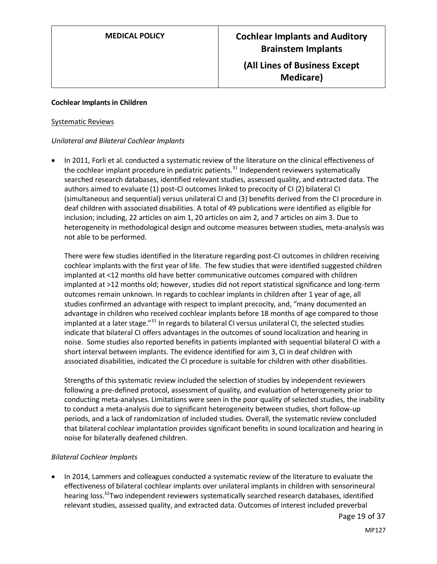### **Cochlear Implants in Children**

### Systematic Reviews

### *Unilateral and Bilateral Cochlear Implants*

In 2011, Forli et al. conducted a systematic review of the literature on the clinical effectiveness of the cochlear implant procedure in pediatric patients.<sup>31</sup> Independent reviewers systematically searched research databases, identified relevant studies, assessed quality, and extracted data. The authors aimed to evaluate (1) post-CI outcomes linked to precocity of CI (2) bilateral CI (simultaneous and sequential) versus unilateral CI and (3) benefits derived from the CI procedure in deaf children with associated disabilities. A total of 49 publications were identified as eligible for inclusion; including, 22 articles on aim 1, 20 articles on aim 2, and 7 articles on aim 3. Due to heterogeneity in methodological design and outcome measures between studies, meta-analysis was not able to be performed.

There were few studies identified in the literature regarding post-CI outcomes in children receiving cochlear implants with the first year of life. The few studies that were identified suggested children implanted at <12 months old have better communicative outcomes compared with children implanted at >12 months old; however, studies did not report statistical significance and long-term outcomes remain unknown. In regards to cochlear implants in children after 1 year of age, all studies confirmed an advantage with respect to implant precocity, and, "many documented an advantage in children who received cochlear implants before 18 months of age compared to those implanted at a later stage."<sup>31</sup> In regards to bilateral CI versus unilateral CI, the selected studies indicate that bilateral CI offers advantages in the outcomes of sound localization and hearing in noise. Some studies also reported benefits in patients implanted with sequential bilateral CI with a short interval between implants. The evidence identified for aim 3, CI in deaf children with associated disabilities, indicated the CI procedure is suitable for children with other disabilities.

Strengths of this systematic review included the selection of studies by independent reviewers following a pre-defined protocol, assessment of quality, and evaluation of heterogeneity prior to conducting meta-analyses. Limitations were seen in the poor quality of selected studies, the inability to conduct a meta-analysis due to significant heterogeneity between studies, short follow-up periods, and a lack of randomization of included studies. Overall, the systematic review concluded that bilateral cochlear implantation provides significant benefits in sound localization and hearing in noise for bilaterally deafened children.

### *Bilateral Cochlear Implants*

• In 2014, Lammers and colleagues conducted a systematic review of the literature to evaluate the effectiveness of bilateral cochlear implants over unilateral implants in children with sensorineural hearing loss.<sup>32</sup>Two independent reviewers systematically searched research databases, identified relevant studies, assessed quality, and extracted data. Outcomes of interest included preverbal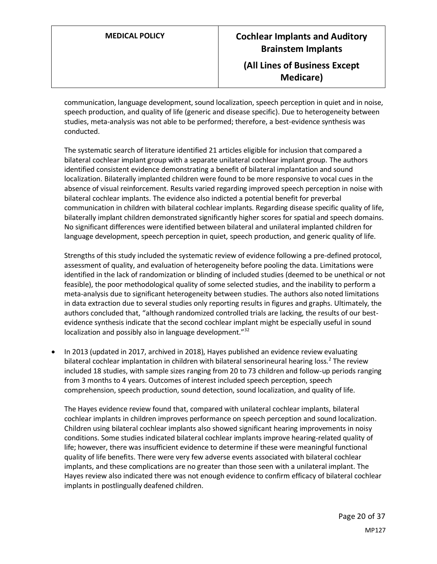communication, language development, sound localization, speech perception in quiet and in noise, speech production, and quality of life (generic and disease specific). Due to heterogeneity between studies, meta-analysis was not able to be performed; therefore, a best-evidence synthesis was conducted.

The systematic search of literature identified 21 articles eligible for inclusion that compared a bilateral cochlear implant group with a separate unilateral cochlear implant group. The authors identified consistent evidence demonstrating a benefit of bilateral implantation and sound localization. Bilaterally implanted children were found to be more responsive to vocal cues in the absence of visual reinforcement. Results varied regarding improved speech perception in noise with bilateral cochlear implants. The evidence also indicted a potential benefit for preverbal communication in children with bilateral cochlear implants. Regarding disease specific quality of life, bilaterally implant children demonstrated significantly higher scores for spatial and speech domains. No significant differences were identified between bilateral and unilateral implanted children for language development, speech perception in quiet, speech production, and generic quality of life.

Strengths of this study included the systematic review of evidence following a pre-defined protocol, assessment of quality, and evaluation of heterogeneity before pooling the data. Limitations were identified in the lack of randomization or blinding of included studies (deemed to be unethical or not feasible), the poor methodological quality of some selected studies, and the inability to perform a meta-analysis due to significant heterogeneity between studies. The authors also noted limitations in data extraction due to several studies only reporting results in figures and graphs. Ultimately, the authors concluded that, "although randomized controlled trials are lacking, the results of our bestevidence synthesis indicate that the second cochlear implant might be especially useful in sound localization and possibly also in language development."<sup>32</sup>

• In 2013 (updated in 2017, archived in 2018), Hayes published an evidence review evaluating bilateral cochlear implantation in children with bilateral sensorineural hearing loss.<sup>2</sup> The review included 18 studies, with sample sizes ranging from 20 to 73 children and follow-up periods ranging from 3 months to 4 years. Outcomes of interest included speech perception, speech comprehension, speech production, sound detection, sound localization, and quality of life.

The Hayes evidence review found that, compared with unilateral cochlear implants, bilateral cochlear implants in children improves performance on speech perception and sound localization. Children using bilateral cochlear implants also showed significant hearing improvements in noisy conditions. Some studies indicated bilateral cochlear implants improve hearing-related quality of life; however, there was insufficient evidence to determine if these were meaningful functional quality of life benefits. There were very few adverse events associated with bilateral cochlear implants, and these complications are no greater than those seen with a unilateral implant. The Hayes review also indicated there was not enough evidence to confirm efficacy of bilateral cochlear implants in postlingually deafened children.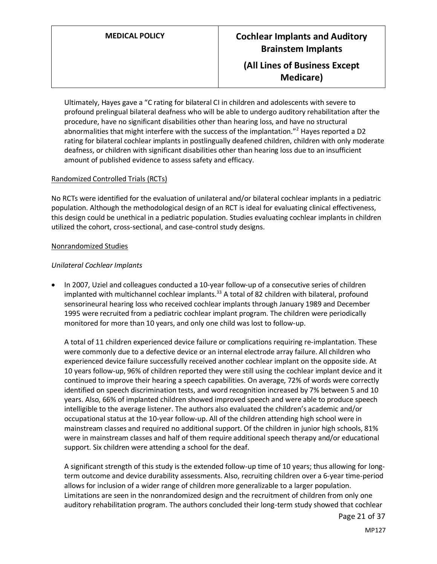Ultimately, Hayes gave a "C rating for bilateral CI in children and adolescents with severe to profound prelingual bilateral deafness who will be able to undergo auditory rehabilitation after the procedure, have no significant disabilities other than hearing loss, and have no structural abnormalities that might interfere with the success of the implantation."<sup>2</sup> Hayes reported a D2 rating for bilateral cochlear implants in postlingually deafened children, children with only moderate deafness, or children with significant disabilities other than hearing loss due to an insufficient amount of published evidence to assess safety and efficacy.

### Randomized Controlled Trials (RCTs)

No RCTs were identified for the evaluation of unilateral and/or bilateral cochlear implants in a pediatric population. Although the methodological design of an RCT is ideal for evaluating clinical effectiveness, this design could be unethical in a pediatric population. Studies evaluating cochlear implants in children utilized the cohort, cross-sectional, and case-control study designs.

### Nonrandomized Studies

### *Unilateral Cochlear Implants*

• In 2007, Uziel and colleagues conducted a 10-year follow-up of a consecutive series of children implanted with multichannel cochlear implants.<sup>33</sup> A total of 82 children with bilateral, profound sensorineural hearing loss who received cochlear implants through January 1989 and December 1995 were recruited from a pediatric cochlear implant program. The children were periodically monitored for more than 10 years, and only one child was lost to follow-up.

A total of 11 children experienced device failure or complications requiring re-implantation. These were commonly due to a defective device or an internal electrode array failure. All children who experienced device failure successfully received another cochlear implant on the opposite side. At 10 years follow-up, 96% of children reported they were still using the cochlear implant device and it continued to improve their hearing a speech capabilities. On average, 72% of words were correctly identified on speech discrimination tests, and word recognition increased by 7% between 5 and 10 years. Also, 66% of implanted children showed improved speech and were able to produce speech intelligible to the average listener. The authors also evaluated the children's academic and/or occupational status at the 10-year follow-up. All of the children attending high school were in mainstream classes and required no additional support. Of the children in junior high schools, 81% were in mainstream classes and half of them require additional speech therapy and/or educational support. Six children were attending a school for the deaf.

A significant strength of this study is the extended follow-up time of 10 years; thus allowing for longterm outcome and device durability assessments. Also, recruiting children over a 6-year time-period allows for inclusion of a wider range of children more generalizable to a larger population. Limitations are seen in the nonrandomized design and the recruitment of children from only one auditory rehabilitation program. The authors concluded their long-term study showed that cochlear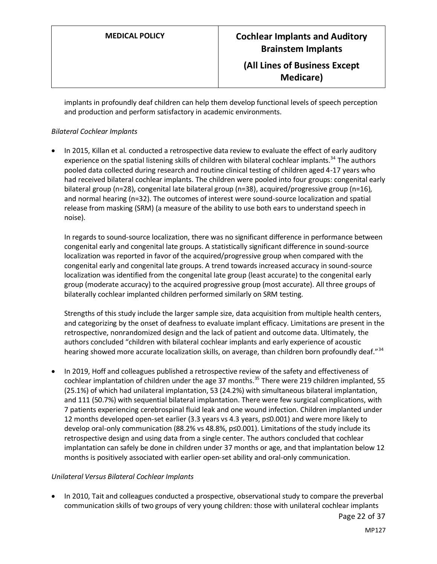implants in profoundly deaf children can help them develop functional levels of speech perception and production and perform satisfactory in academic environments.

### *Bilateral Cochlear Implants*

• In 2015, Killan et al. conducted a retrospective data review to evaluate the effect of early auditory experience on the spatial listening skills of children with bilateral cochlear implants.<sup>34</sup> The authors pooled data collected during research and routine clinical testing of children aged 4-17 years who had received bilateral cochlear implants. The children were pooled into four groups: congenital early bilateral group (n=28), congenital late bilateral group (n=38), acquired/progressive group (n=16), and normal hearing (n=32). The outcomes of interest were sound-source localization and spatial release from masking (SRM) (a measure of the ability to use both ears to understand speech in noise).

In regards to sound-source localization, there was no significant difference in performance between congenital early and congenital late groups. A statistically significant difference in sound-source localization was reported in favor of the acquired/progressive group when compared with the congenital early and congenital late groups. A trend towards increased accuracy in sound-source localization was identified from the congenital late group (least accurate) to the congenital early group (moderate accuracy) to the acquired progressive group (most accurate). All three groups of bilaterally cochlear implanted children performed similarly on SRM testing.

Strengths of this study include the larger sample size, data acquisition from multiple health centers, and categorizing by the onset of deafness to evaluate implant efficacy. Limitations are present in the retrospective, nonrandomized design and the lack of patient and outcome data. Ultimately, the authors concluded "children with bilateral cochlear implants and early experience of acoustic hearing showed more accurate localization skills, on average, than children born profoundly deaf."<sup>34</sup>

• In 2019, Hoff and colleagues published a retrospective review of the safety and effectiveness of cochlear implantation of children under the age 37 months.<sup>35</sup> There were 219 children implanted, 55 (25.1%) of which had unilateral implantation, 53 (24.2%) with simultaneous bilateral implantation, and 111 (50.7%) with sequential bilateral implantation. There were few surgical complications, with 7 patients experiencing cerebrospinal fluid leak and one wound infection. Children implanted under 12 months developed open-set earlier (3.3 years vs 4.3 years, p≤0.001) and were more likely to develop oral-only communication (88.2% vs 48.8%, p≤0.001). Limitations of the study include its retrospective design and using data from a single center. The authors concluded that cochlear implantation can safely be done in children under 37 months or age, and that implantation below 12 months is positively associated with earlier open-set ability and oral-only communication.

### *Unilateral Versus Bilateral Cochlear Implants*

• In 2010, Tait and colleagues conducted a prospective, observational study to compare the preverbal communication skills of two groups of very young children: those with unilateral cochlear implants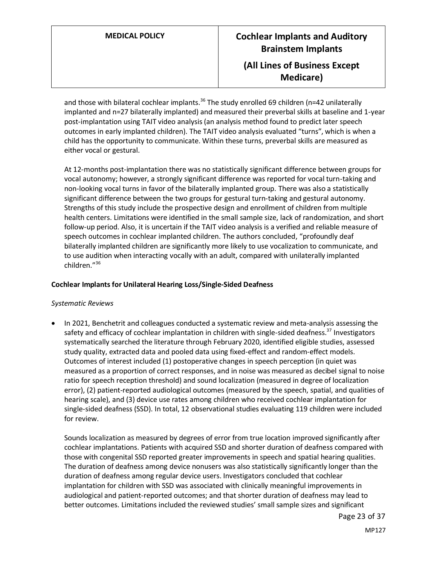and those with bilateral cochlear implants.<sup>36</sup> The study enrolled 69 children (n=42 unilaterally implanted and n=27 bilaterally implanted) and measured their preverbal skills at baseline and 1-year post-implantation using TAIT video analysis (an analysis method found to predict later speech outcomes in early implanted children). The TAIT video analysis evaluated "turns", which is when a child has the opportunity to communicate. Within these turns, preverbal skills are measured as either vocal or gestural.

At 12-months post-implantation there was no statistically significant difference between groups for vocal autonomy; however, a strongly significant difference was reported for vocal turn-taking and non-looking vocal turns in favor of the bilaterally implanted group. There was also a statistically significant difference between the two groups for gestural turn-taking and gestural autonomy. Strengths of this study include the prospective design and enrollment of children from multiple health centers. Limitations were identified in the small sample size, lack of randomization, and short follow-up period. Also, it is uncertain if the TAIT video analysis is a verified and reliable measure of speech outcomes in cochlear implanted children. The authors concluded, "profoundly deaf bilaterally implanted children are significantly more likely to use vocalization to communicate, and to use audition when interacting vocally with an adult, compared with unilaterally implanted children."<sup>36</sup>

### **Cochlear Implants for Unilateral Hearing Loss/Single-Sided Deafness**

### *Systematic Reviews*

• In 2021, Benchetrit and colleagues conducted a systematic review and meta-analysis assessing the safety and efficacy of cochlear implantation in children with single-sided deafness.<sup>37</sup> Investigators systematically searched the literature through February 2020, identified eligible studies, assessed study quality, extracted data and pooled data using fixed-effect and random-effect models. Outcomes of interest included (1) postoperative changes in speech perception (in quiet was measured as a proportion of correct responses, and in noise was measured as decibel signal to noise ratio for speech reception threshold) and sound localization (measured in degree of localization error), (2) patient-reported audiological outcomes (measured by the speech, spatial, and qualities of hearing scale), and (3) device use rates among children who received cochlear implantation for single-sided deafness (SSD). In total, 12 observational studies evaluating 119 children were included for review.

Sounds localization as measured by degrees of error from true location improved significantly after cochlear implantations. Patients with acquired SSD and shorter duration of deafness compared with those with congenital SSD reported greater improvements in speech and spatial hearing qualities. The duration of deafness among device nonusers was also statistically significantly longer than the duration of deafness among regular device users. Investigators concluded that cochlear implantation for children with SSD was associated with clinically meaningful improvements in audiological and patient-reported outcomes; and that shorter duration of deafness may lead to better outcomes. Limitations included the reviewed studies' small sample sizes and significant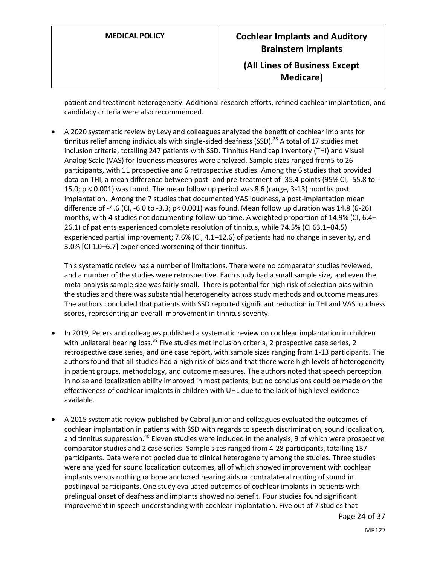patient and treatment heterogeneity. Additional research efforts, refined cochlear implantation, and candidacy criteria were also recommended.

• A 2020 systematic review by Levy and colleagues analyzed the benefit of cochlear implants for tinnitus relief among individuals with single-sided deafness (SSD).<sup>38</sup> A total of 17 studies met inclusion criteria, totalling 247 patients with SSD. Tinnitus Handicap Inventory (THI) and Visual Analog Scale (VAS) for loudness measures were analyzed. Sample sizes ranged from5 to 26 participants, with 11 prospective and 6 retrospective studies. Among the 6 studies that provided data on THI, a mean difference between post- and pre-treatment of -35.4 points (95% CI, -55.8 to - 15.0; p < 0.001) was found. The mean follow up period was 8.6 (range, 3-13) months post implantation. Among the 7 studies that documented VAS loudness, a post-implantation mean difference of -4.6 (CI, -6.0 to -3.3; p< 0.001) was found. Mean follow up duration was 14.8 (6-26) months, with 4 studies not documenting follow-up time. A weighted proportion of 14.9% (CI, 6.4– 26.1) of patients experienced complete resolution of tinnitus, while 74.5% (CI 63.1–84.5) experienced partial improvement; 7.6% (CI, 4.1–12.6) of patients had no change in severity, and 3.0% [CI 1.0–6.7] experienced worsening of their tinnitus.

This systematic review has a number of limitations. There were no comparator studies reviewed, and a number of the studies were retrospective. Each study had a small sample size, and even the meta-analysis sample size was fairly small. There is potential for high risk of selection bias within the studies and there was substantial heterogeneity across study methods and outcome measures. The authors concluded that patients with SSD reported significant reduction in THI and VAS loudness scores, representing an overall improvement in tinnitus severity.

- In 2019, Peters and colleagues published a systematic review on cochlear implantation in children with unilateral hearing loss.<sup>39</sup> Five studies met inclusion criteria, 2 prospective case series, 2 retrospective case series, and one case report, with sample sizes ranging from 1-13 participants. The authors found that all studies had a high risk of bias and that there were high levels of heterogeneity in patient groups, methodology, and outcome measures. The authors noted that speech perception in noise and localization ability improved in most patients, but no conclusions could be made on the effectiveness of cochlear implants in children with UHL due to the lack of high level evidence available.
- A 2015 systematic review published by Cabral junior and colleagues evaluated the outcomes of cochlear implantation in patients with SSD with regards to speech discrimination, sound localization, and tinnitus suppression.<sup>40</sup> Eleven studies were included in the analysis, 9 of which were prospective comparator studies and 2 case series. Sample sizes ranged from 4-28 participants, totalling 137 participants. Data were not pooled due to clinical heterogeneity among the studies. Three studies were analyzed for sound localization outcomes, all of which showed improvement with cochlear implants versus nothing or bone anchored hearing aids or contralateral routing of sound in postlingual participants. One study evaluated outcomes of cochlear implants in patients with prelingual onset of deafness and implants showed no benefit. Four studies found significant improvement in speech understanding with cochlear implantation. Five out of 7 studies that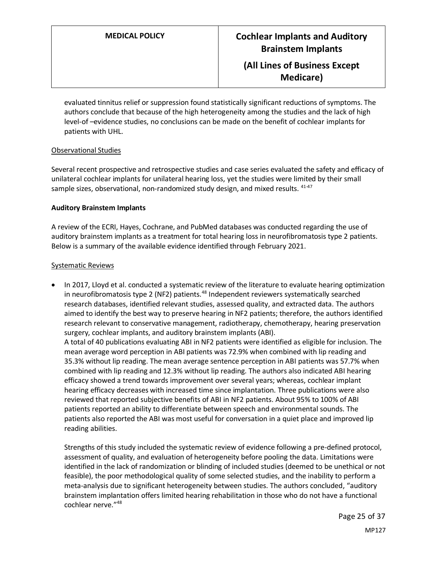evaluated tinnitus relief or suppression found statistically significant reductions of symptoms. The authors conclude that because of the high heterogeneity among the studies and the lack of high level-of –evidence studies, no conclusions can be made on the benefit of cochlear implants for patients with UHL.

### Observational Studies

Several recent prospective and retrospective studies and case series evaluated the safety and efficacy of unilateral cochlear implants for unilateral hearing loss, yet the studies were limited by their small sample sizes, observational, non-randomized study design, and mixed results.  $41-47$ 

### **Auditory Brainstem Implants**

A review of the ECRI, Hayes, Cochrane, and PubMed databases was conducted regarding the use of auditory brainstem implants as a treatment for total hearing loss in neurofibromatosis type 2 patients. Below is a summary of the available evidence identified through February 2021.

### Systematic Reviews

• In 2017, Lloyd et al. conducted a systematic review of the literature to evaluate hearing optimization in neurofibromatosis type 2 (NF2) patients. $48$  Independent reviewers systematically searched research databases, identified relevant studies, assessed quality, and extracted data. The authors aimed to identify the best way to preserve hearing in NF2 patients; therefore, the authors identified research relevant to conservative management, radiotherapy, chemotherapy, hearing preservation surgery, cochlear implants, and auditory brainstem implants (ABI). A total of 40 publications evaluating ABI in NF2 patients were identified as eligible for inclusion. The mean average word perception in ABI patients was 72.9% when combined with lip reading and 35.3% without lip reading. The mean average sentence perception in ABI patients was 57.7% when combined with lip reading and 12.3% without lip reading. The authors also indicated ABI hearing efficacy showed a trend towards improvement over several years; whereas, cochlear implant hearing efficacy decreases with increased time since implantation. Three publications were also reviewed that reported subjective benefits of ABI in NF2 patients. About 95% to 100% of ABI patients reported an ability to differentiate between speech and environmental sounds. The patients also reported the ABI was most useful for conversation in a quiet place and improved lip reading abilities.

Strengths of this study included the systematic review of evidence following a pre-defined protocol, assessment of quality, and evaluation of heterogeneity before pooling the data. Limitations were identified in the lack of randomization or blinding of included studies (deemed to be unethical or not feasible), the poor methodological quality of some selected studies, and the inability to perform a meta-analysis due to significant heterogeneity between studies. The authors concluded, "auditory brainstem implantation offers limited hearing rehabilitation in those who do not have a functional cochlear nerve."<sup>48</sup>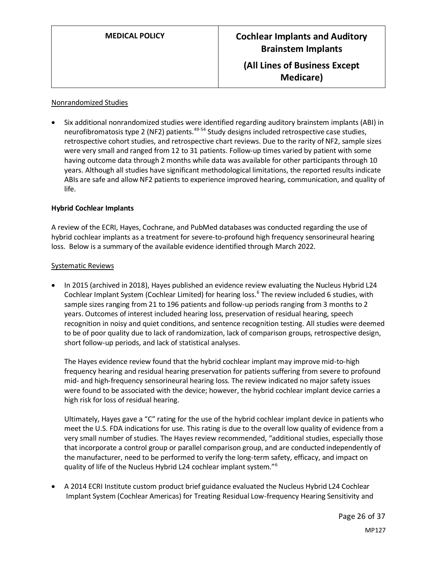### Nonrandomized Studies

• Six additional nonrandomized studies were identified regarding auditory brainstem implants (ABI) in neurofibromatosis type 2 (NF2) patients.<sup>49-54</sup> Study designs included retrospective case studies, retrospective cohort studies, and retrospective chart reviews. Due to the rarity of NF2, sample sizes were very small and ranged from 12 to 31 patients. Follow-up times varied by patient with some having outcome data through 2 months while data was available for other participants through 10 years. Although all studies have significant methodological limitations, the reported results indicate ABIs are safe and allow NF2 patients to experience improved hearing, communication, and quality of life.

### **Hybrid Cochlear Implants**

A review of the ECRI, Hayes, Cochrane, and PubMed databases was conducted regarding the use of hybrid cochlear implants as a treatment for severe-to-profound high frequency sensorineural hearing loss. Below is a summary of the available evidence identified through March 2022.

### Systematic Reviews

• In 2015 (archived in 2018), Hayes published an evidence review evaluating the Nucleus Hybrid L24 Cochlear Implant System (Cochlear Limited) for hearing loss.<sup>6</sup> The review included 6 studies, with sample sizes ranging from 21 to 196 patients and follow-up periods ranging from 3 months to 2 years. Outcomes of interest included hearing loss, preservation of residual hearing, speech recognition in noisy and quiet conditions, and sentence recognition testing. All studies were deemed to be of poor quality due to lack of randomization, lack of comparison groups, retrospective design, short follow-up periods, and lack of statistical analyses.

The Hayes evidence review found that the hybrid cochlear implant may improve mid-to-high frequency hearing and residual hearing preservation for patients suffering from severe to profound mid- and high-frequency sensorineural hearing loss. The review indicated no major safety issues were found to be associated with the device; however, the hybrid cochlear implant device carries a high risk for loss of residual hearing.

Ultimately, Hayes gave a "C" rating for the use of the hybrid cochlear implant device in patients who meet the U.S. FDA indications for use. This rating is due to the overall low quality of evidence from a very small number of studies. The Hayes review recommended, "additional studies, especially those that incorporate a control group or parallel comparison group, and are conducted independently of the manufacturer, need to be performed to verify the long-term safety, efficacy, and impact on quality of life of the Nucleus Hybrid L24 cochlear implant system."<sup>6</sup>

• A 2014 ECRI Institute custom product brief guidance evaluated the Nucleus Hybrid L24 Cochlear Implant System (Cochlear Americas) for Treating Residual Low-frequency Hearing Sensitivity and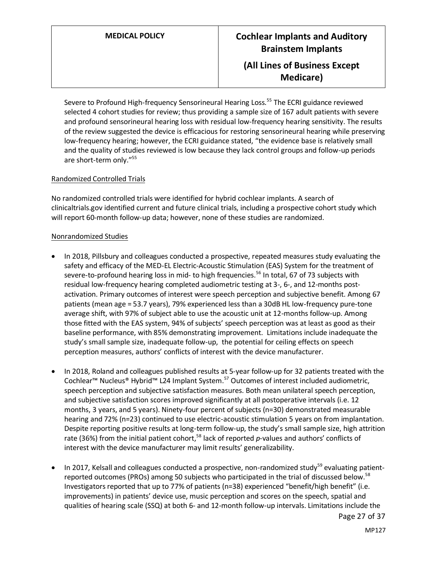Severe to Profound High-frequency Sensorineural Hearing Loss.<sup>55</sup> The ECRI guidance reviewed selected 4 cohort studies for review; thus providing a sample size of 167 adult patients with severe and profound sensorineural hearing loss with residual low-frequency hearing sensitivity. The results of the review suggested the device is efficacious for restoring sensorineural hearing while preserving low-frequency hearing; however, the ECRI guidance stated, "the evidence base is relatively small and the quality of studies reviewed is low because they lack control groups and follow-up periods are short-term only."<sup>55</sup>

### Randomized Controlled Trials

No randomized controlled trials were identified for hybrid cochlear implants. A search of clinicaltrials.gov identified current and future clinical trials, including a prospective cohort study which will report 60-month follow-up data; however, none of these studies are randomized.

### Nonrandomized Studies

- In 2018, Pillsbury and colleagues conducted a prospective, repeated measures study evaluating the safety and efficacy of the MED-EL Electric-Acoustic Stimulation (EAS) System for the treatment of severe-to-profound hearing loss in mid- to high frequencies.<sup>56</sup> In total, 67 of 73 subjects with residual low-frequency hearing completed audiometric testing at 3-, 6-, and 12-months postactivation. Primary outcomes of interest were speech perception and subjective benefit. Among 67 patients (mean age = 53.7 years), 79% experienced less than a 30dB HL low-frequency pure-tone average shift, with 97% of subject able to use the acoustic unit at 12-months follow-up. Among those fitted with the EAS system, 94% of subjects' speech perception was at least as good as their baseline performance, with 85% demonstrating improvement. Limitations include inadequate the study's small sample size, inadequate follow-up, the potential for ceiling effects on speech perception measures, authors' conflicts of interest with the device manufacturer.
- In 2018, Roland and colleagues published results at 5-year follow-up for 32 patients treated with the Cochlear<sup>™</sup> Nucleus® Hybrid™ L24 Implant System.<sup>57</sup> Outcomes of interest included audiometric, speech perception and subjective satisfaction measures. Both mean unilateral speech perception, and subjective satisfaction scores improved significantly at all postoperative intervals (i.e. 12 months, 3 years, and 5 years). Ninety-four percent of subjects (n=30) demonstrated measurable hearing and 72% (n=23) continued to use electric-acoustic stimulation 5 years on from implantation. Despite reporting positive results at long-term follow-up, the study's small sample size, high attrition rate (36%) from the initial patient cohort,<sup>58</sup> lack of reported p-values and authors' conflicts of interest with the device manufacturer may limit results' generalizability.
- In 2017, Kelsall and colleagues conducted a prospective, non-randomized study<sup>59</sup> evaluating patientreported outcomes (PROs) among 50 subjects who participated in the trial of discussed below.<sup>58</sup> Investigators reported that up to 77% of patients (n=38) experienced "benefit/high benefit" (i.e. improvements) in patients' device use, music perception and scores on the speech, spatial and qualities of hearing scale (SSQ) at both 6- and 12-month follow-up intervals. Limitations include the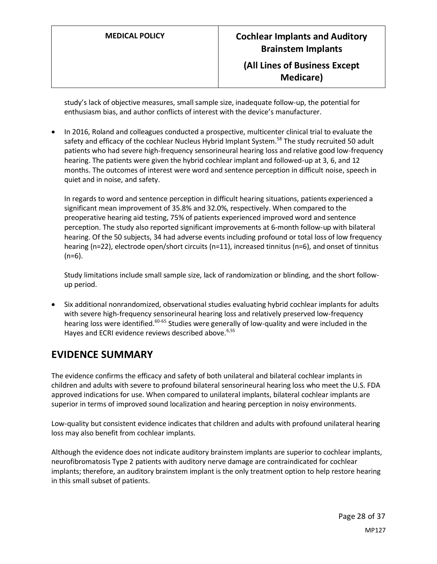study's lack of objective measures, small sample size, inadequate follow-up, the potential for enthusiasm bias, and author conflicts of interest with the device's manufacturer.

• In 2016, Roland and colleagues conducted a prospective, multicenter clinical trial to evaluate the safety and efficacy of the cochlear Nucleus Hybrid Implant System.<sup>58</sup> The study recruited 50 adult patients who had severe high-frequency sensorineural hearing loss and relative good low-frequency hearing. The patients were given the hybrid cochlear implant and followed-up at 3, 6, and 12 months. The outcomes of interest were word and sentence perception in difficult noise, speech in quiet and in noise, and safety.

In regards to word and sentence perception in difficult hearing situations, patients experienced a significant mean improvement of 35.8% and 32.0%, respectively. When compared to the preoperative hearing aid testing, 75% of patients experienced improved word and sentence perception. The study also reported significant improvements at 6-month follow-up with bilateral hearing. Of the 50 subjects, 34 had adverse events including profound or total loss of low frequency hearing (n=22), electrode open/short circuits (n=11), increased tinnitus (n=6), and onset of tinnitus (n=6).

Study limitations include small sample size, lack of randomization or blinding, and the short followup period.

• Six additional nonrandomized, observational studies evaluating hybrid cochlear implants for adults with severe high-frequency sensorineural hearing loss and relatively preserved low-frequency hearing loss were identified.<sup>60-65</sup> Studies were generally of low-quality and were included in the Hayes and ECRI evidence reviews described above.<sup>6,55</sup>

## <span id="page-27-0"></span>**EVIDENCE SUMMARY**

The evidence confirms the efficacy and safety of both unilateral and bilateral cochlear implants in children and adults with severe to profound bilateral sensorineural hearing loss who meet the U.S. FDA approved indications for use. When compared to unilateral implants, bilateral cochlear implants are superior in terms of improved sound localization and hearing perception in noisy environments.

Low-quality but consistent evidence indicates that children and adults with profound unilateral hearing loss may also benefit from cochlear implants.

Although the evidence does not indicate auditory brainstem implants are superior to cochlear implants, neurofibromatosis Type 2 patients with auditory nerve damage are contraindicated for cochlear implants; therefore, an auditory brainstem implant is the only treatment option to help restore hearing in this small subset of patients.

> Page 28 of 37 MP127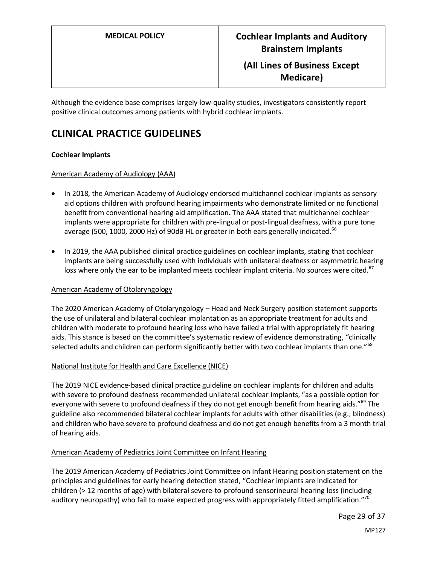Although the evidence base comprises largely low-quality studies, investigators consistently report positive clinical outcomes among patients with hybrid cochlear implants.

# **CLINICAL PRACTICE GUIDELINES**

### **Cochlear Implants**

### American Academy of Audiology (AAA)

- In 2018, the American Academy of Audiology endorsed multichannel cochlear implants as sensory aid options children with profound hearing impairments who demonstrate limited or no functional benefit from conventional hearing aid amplification. The AAA stated that multichannel cochlear implants were appropriate for children with pre-lingual or post-lingual deafness, with a pure tone average (500, 1000, 2000 Hz) of 90dB HL or greater in both ears generally indicated.<sup>66</sup>
- In 2019, the AAA published clinical practice guidelines on cochlear implants, stating that cochlear implants are being successfully used with individuals with unilateral deafness or asymmetric hearing loss where only the ear to be implanted meets cochlear implant criteria. No sources were cited.<sup>67</sup>

### American Academy of Otolaryngology

The 2020 American Academy of Otolaryngology – Head and Neck Surgery position statement supports the use of unilateral and bilateral cochlear implantation as an appropriate treatment for adults and children with moderate to profound hearing loss who have failed a trial with appropriately fit hearing aids. This stance is based on the committee's systematic review of evidence demonstrating, "clinically selected adults and children can perform significantly better with two cochlear implants than one."<sup>68</sup>

### National Institute for Health and Care Excellence (NICE)

The 2019 NICE evidence-based clinical practice guideline on cochlear implants for children and adults with severe to profound deafness recommended unilateral cochlear implants, "as a possible option for everyone with severe to profound deafness if they do not get enough benefit from hearing aids."<sup>69</sup> The guideline also recommended bilateral cochlear implants for adults with other disabilities (e.g., blindness) and children who have severe to profound deafness and do not get enough benefits from a 3 month trial of hearing aids.

### American Academy of Pediatrics Joint Committee on Infant Hearing

The 2019 American Academy of Pediatrics Joint Committee on Infant Hearing position statement on the principles and guidelines for early hearing detection stated, "Cochlear implants are indicated for children (> 12 months of age) with bilateral severe-to-profound sensorineural hearing loss (including auditory neuropathy) who fail to make expected progress with appropriately fitted amplification."<sup>70</sup>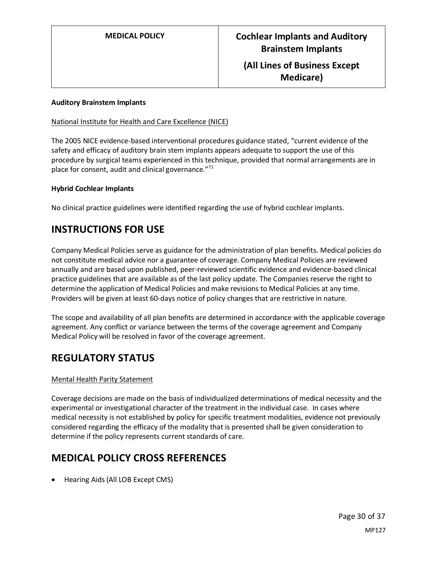### **Auditory Brainstem Implants**

### National Institute for Health and Care Excellence (NICE)

The 2005 NICE evidence-based interventional procedures guidance stated, "current evidence of the safety and efficacy of auditory brain stem implants appears adequate to support the use of this procedure by surgical teams experienced in this technique, provided that normal arrangements are in place for consent, audit and clinical governance."<sup>71</sup>

### **Hybrid Cochlear Implants**

No clinical practice guidelines were identified regarding the use of hybrid cochlear implants.

## **INSTRUCTIONS FOR USE**

Company Medical Policies serve as guidance for the administration of plan benefits. Medical policies do not constitute medical advice nor a guarantee of coverage. Company Medical Policies are reviewed annually and are based upon published, peer-reviewed scientific evidence and evidence-based clinical practice guidelines that are available as of the last policy update. The Companies reserve the right to determine the application of Medical Policies and make revisions to Medical Policies at any time. Providers will be given at least 60-days notice of policy changes that are restrictive in nature.

The scope and availability of all plan benefits are determined in accordance with the applicable coverage agreement. Any conflict or variance between the terms of the coverage agreement and Company Medical Policy will be resolved in favor of the coverage agreement.

## **REGULATORY STATUS**

### Mental Health Parity Statement

Coverage decisions are made on the basis of individualized determinations of medical necessity and the experimental or investigational character of the treatment in the individual case. In cases where medical necessity is not established by policy for specific treatment modalities, evidence not previously considered regarding the efficacy of the modality that is presented shall be given consideration to determine if the policy represents current standards of care.

## **MEDICAL POLICY CROSS REFERENCES**

• Hearing Aids (All LOB Except CMS)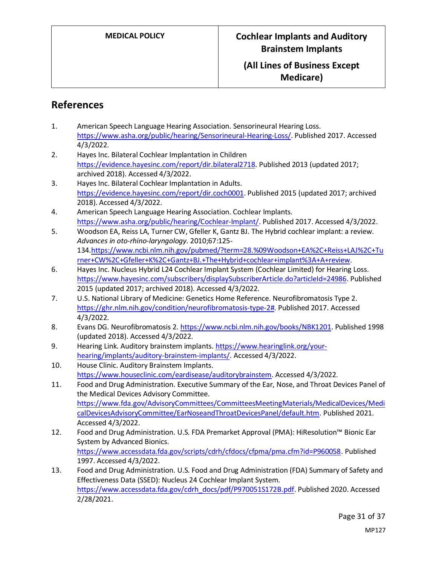# **References**

- 1. American Speech Language Hearing Association. Sensorineural Hearing Loss. [https://www.asha.org/public/hearing/Sensorineural-Hearing-Loss/.](https://www.asha.org/public/hearing/Sensorineural-Hearing-Loss/) Published 2017. Accessed 4/3/2022.
- 2. Hayes Inc. Bilateral Cochlear Implantation in Children [https://evidence.hayesinc.com/report/dir.bilateral2718.](https://evidence.hayesinc.com/report/dir.bilateral2718) Published 2013 (updated 2017; archived 2018). Accessed 4/3/2022.
- 3. Hayes Inc. Bilateral Cochlear Implantation in Adults. [https://evidence.hayesinc.com/report/dir.coch0001.](https://evidence.hayesinc.com/report/dir.coch0001) Published 2015 (updated 2017; archived 2018). Accessed 4/3/2022.
- 4. American Speech Language Hearing Association. Cochlear Implants. [https://www.asha.org/public/hearing/Cochlear-Implant/.](https://www.asha.org/public/hearing/Cochlear-Implant/) Published 2017. Accessed 4/3/2022.
- 5. Woodson EA, Reiss LA, Turner CW, Gfeller K, Gantz BJ. The Hybrid cochlear implant: a review. *Advances in oto-rhino-laryngology.* 2010;67:125- 134[.https://www.ncbi.nlm.nih.gov/pubmed/?term=28.%09Woodson+EA%2C+Reiss+LAJ%2C+Tu](https://www.ncbi.nlm.nih.gov/pubmed/?term=28.%09Woodson+EA%2C+Reiss+LAJ%2C+Turner+CW%2C+Gfeller+K%2C+Gantz+BJ.+The+Hybrid+cochlear+implant%3A+A+review) [rner+CW%2C+Gfeller+K%2C+Gantz+BJ.+The+Hybrid+cochlear+implant%3A+A+review.](https://www.ncbi.nlm.nih.gov/pubmed/?term=28.%09Woodson+EA%2C+Reiss+LAJ%2C+Turner+CW%2C+Gfeller+K%2C+Gantz+BJ.+The+Hybrid+cochlear+implant%3A+A+review)
- 6. Hayes Inc. Nucleus Hybrid L24 Cochlear Implant System (Cochlear Limited) for Hearing Loss. [https://www.hayesinc.com/subscribers/displaySubscriberArticle.do?articleId=24986.](https://www.hayesinc.com/subscribers/displaySubscriberArticle.do?articleId=24986) Published 2015 (updated 2017; archived 2018). Accessed 4/3/2022.
- 7. U.S. National Library of Medicine: Genetics Home Reference. Neurofibromatosis Type 2. [https://ghr.nlm.nih.gov/condition/neurofibromatosis-type-2#.](https://ghr.nlm.nih.gov/condition/neurofibromatosis-type-2) Published 2017. Accessed 4/3/2022.
- 8. Evans DG. Neurofibromatosis 2[. https://www.ncbi.nlm.nih.gov/books/NBK1201.](https://www.ncbi.nlm.nih.gov/books/NBK1201) Published 1998 (updated 2018). Accessed 4/3/2022.
- 9. Hearing Link. Auditory brainstem implants[. https://www.hearinglink.org/your](https://www.hearinglink.org/your-hearing/implants/auditory-brainstem-implants/)[hearing/implants/auditory-brainstem-implants/.](https://www.hearinglink.org/your-hearing/implants/auditory-brainstem-implants/) Accessed 4/3/2022.
- 10. House Clinic. Auditory Brainstem Implants. [https://www.houseclinic.com/eardisease/auditorybrainstem.](https://www.houseclinic.com/eardisease/auditorybrainstem) Accessed 4/3/2022.
- 11. Food and Drug Administration. Executive Summary of the Ear, Nose, and Throat Devices Panel of the Medical Devices Advisory Committee. [https://www.fda.gov/AdvisoryCommittees/CommitteesMeetingMaterials/MedicalDevices/Medi](https://www.fda.gov/AdvisoryCommittees/CommitteesMeetingMaterials/MedicalDevices/MedicalDevicesAdvisoryCommittee/EarNoseandThroatDevicesPanel/default.htm) [calDevicesAdvisoryCommittee/EarNoseandThroatDevicesPanel/default.htm.](https://www.fda.gov/AdvisoryCommittees/CommitteesMeetingMaterials/MedicalDevices/MedicalDevicesAdvisoryCommittee/EarNoseandThroatDevicesPanel/default.htm) Published 2021. Accessed 4/3/2022.
- 12. Food and Drug Administration. U.S. FDA Premarket Approval (PMA): HiResolution™ Bionic Ear System by Advanced Bionics. [https://www.accessdata.fda.gov/scripts/cdrh/cfdocs/cfpma/pma.cfm?id=P960058.](https://www.accessdata.fda.gov/scripts/cdrh/cfdocs/cfpma/pma.cfm?id=P960058) Published 1997. Accessed 4/3/2022.
- 13. Food and Drug Administration. U.S. Food and Drug Administration (FDA) Summary of Safety and Effectiveness Data (SSED): Nucleus 24 Cochlear Implant System. [https://www.accessdata.fda.gov/cdrh\\_docs/pdf/P970051S172B.pdf.](https://www.accessdata.fda.gov/cdrh_docs/pdf/P970051S172B.pdf) Published 2020. Accessed 2/28/2021.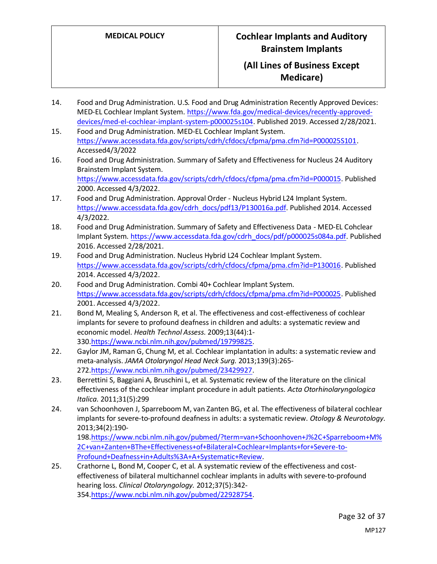- 14. Food and Drug Administration. U.S. Food and Drug Administration Recently Approved Devices: MED-EL Cochlear Implant System[. https://www.fda.gov/medical-devices/recently-approved](https://www.fda.gov/medical-devices/recently-approved-devices/med-el-cochlear-implant-system-p000025s104)[devices/med-el-cochlear-implant-system-p000025s104.](https://www.fda.gov/medical-devices/recently-approved-devices/med-el-cochlear-implant-system-p000025s104) Published 2019. Accessed 2/28/2021.
- 15. Food and Drug Administration. MED-EL Cochlear Implant System. [https://www.accessdata.fda.gov/scripts/cdrh/cfdocs/cfpma/pma.cfm?id=P000025S101.](https://www.accessdata.fda.gov/scripts/cdrh/cfdocs/cfpma/pma.cfm?id=P000025S101) Accessed4/3/2022
- 16. Food and Drug Administration. Summary of Safety and Effectiveness for Nucleus 24 Auditory Brainstem Implant System.

[https://www.accessdata.fda.gov/scripts/cdrh/cfdocs/cfpma/pma.cfm?id=P000015.](https://www.accessdata.fda.gov/scripts/cdrh/cfdocs/cfpma/pma.cfm?id=P000015) Published 2000. Accessed 4/3/2022.

- 17. Food and Drug Administration. Approval Order Nucleus Hybrid L24 Implant System. [https://www.accessdata.fda.gov/cdrh\\_docs/pdf13/P130016a.pdf.](https://www.accessdata.fda.gov/cdrh_docs/pdf13/P130016a.pdf) Published 2014. Accessed 4/3/2022.
- 18. Food and Drug Administration. Summary of Safety and Effectiveness Data MED-EL Cohclear Implant System[. https://www.accessdata.fda.gov/cdrh\\_docs/pdf/p000025s084a.pdf.](https://www.accessdata.fda.gov/cdrh_docs/pdf/p000025s084a.pdf) Published 2016. Accessed 2/28/2021.
- 19. Food and Drug Administration. Nucleus Hybrid L24 Cochlear Implant System. [https://www.accessdata.fda.gov/scripts/cdrh/cfdocs/cfpma/pma.cfm?id=P130016.](https://www.accessdata.fda.gov/scripts/cdrh/cfdocs/cfpma/pma.cfm?id=P130016) Published 2014. Accessed 4/3/2022.
- 20. Food and Drug Administration. Combi 40+ Cochlear Implant System. [https://www.accessdata.fda.gov/scripts/cdrh/cfdocs/cfpma/pma.cfm?id=P000025.](https://www.accessdata.fda.gov/scripts/cdrh/cfdocs/cfpma/pma.cfm?id=P000025) Published 2001. Accessed 4/3/2022.
- 21. Bond M, Mealing S, Anderson R, et al. The effectiveness and cost-effectiveness of cochlear implants for severe to profound deafness in children and adults: a systematic review and economic model. *Health Technol Assess.* 2009;13(44):1- 330[.https://www.ncbi.nlm.nih.gov/pubmed/19799825.](https://www.ncbi.nlm.nih.gov/pubmed/19799825)
- 22. Gaylor JM, Raman G, Chung M, et al. Cochlear implantation in adults: a systematic review and meta-analysis. *JAMA Otolaryngol Head Neck Surg.* 2013;139(3):265- 272[.https://www.ncbi.nlm.nih.gov/pubmed/23429927.](https://www.ncbi.nlm.nih.gov/pubmed/23429927)
- 23. Berrettini S, Baggiani A, Bruschini L, et al. Systematic review of the literature on the clinical effectiveness of the cochlear implant procedure in adult patients. *Acta Otorhinolaryngologica Italica.* 2011;31(5):299
- 24. van Schoonhoven J, Sparreboom M, van Zanten BG, et al. The effectiveness of bilateral cochlear implants for severe-to-profound deafness in adults: a systematic review. *Otology & Neurotology.*  2013;34(2):190-

198[.https://www.ncbi.nlm.nih.gov/pubmed/?term=van+Schoonhoven+J%2C+Sparreboom+M%](https://www.ncbi.nlm.nih.gov/pubmed/?term=van+Schoonhoven+J%2C+Sparreboom+M%2C+van+Zanten+BThe+Effectiveness+of+Bilateral+Cochlear+Implants+for+Severe-to-Profound+Deafness+in+Adults%3A+A+Systematic+Review) [2C+van+Zanten+BThe+Effectiveness+of+Bilateral+Cochlear+Implants+for+Severe-to-](https://www.ncbi.nlm.nih.gov/pubmed/?term=van+Schoonhoven+J%2C+Sparreboom+M%2C+van+Zanten+BThe+Effectiveness+of+Bilateral+Cochlear+Implants+for+Severe-to-Profound+Deafness+in+Adults%3A+A+Systematic+Review)[Profound+Deafness+in+Adults%3A+A+Systematic+Review.](https://www.ncbi.nlm.nih.gov/pubmed/?term=van+Schoonhoven+J%2C+Sparreboom+M%2C+van+Zanten+BThe+Effectiveness+of+Bilateral+Cochlear+Implants+for+Severe-to-Profound+Deafness+in+Adults%3A+A+Systematic+Review)

25. Crathorne L, Bond M, Cooper C, et al. A systematic review of the effectiveness and costeffectiveness of bilateral multichannel cochlear implants in adults with severe-to-profound hearing loss. *Clinical Otolaryngology.* 2012;37(5):342- 354[.https://www.ncbi.nlm.nih.gov/pubmed/22928754.](https://www.ncbi.nlm.nih.gov/pubmed/22928754)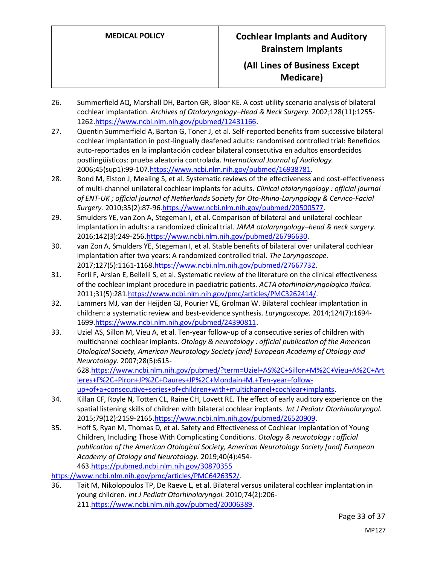- 26. Summerfield AQ, Marshall DH, Barton GR, Bloor KE. A cost-utility scenario analysis of bilateral cochlear implantation. *Archives of Otolaryngology–Head & Neck Surgery.* 2002;128(11):1255- 1262[.https://www.ncbi.nlm.nih.gov/pubmed/12431166.](https://www.ncbi.nlm.nih.gov/pubmed/12431166)
- 27. Quentin Summerfield A, Barton G, Toner J, et al. Self-reported benefits from successive bilateral cochlear implantation in post-lingually deafened adults: randomised controlled trial: Beneficios auto-reportados en la implantación coclear bilateral consecutiva en adultos ensordecidos postlingüísticos: prueba aleatoria controlada. *International Journal of Audiology.*  2006;45(sup1):99-10[7.https://www.ncbi.nlm.nih.gov/pubmed/16938781.](https://www.ncbi.nlm.nih.gov/pubmed/16938781)
- 28. Bond M, Elston J, Mealing S, et al. Systematic reviews of the effectiveness and cost-effectiveness of multi-channel unilateral cochlear implants for adults. *Clinical otolaryngology : official journal of ENT-UK ; official journal of Netherlands Society for Oto-Rhino-Laryngology & Cervico-Facial Surgery.* 2010;35(2):87-9[6.https://www.ncbi.nlm.nih.gov/pubmed/20500577.](https://www.ncbi.nlm.nih.gov/pubmed/20500577)
- 29. Smulders YE, van Zon A, Stegeman I, et al. Comparison of bilateral and unilateral cochlear implantation in adults: a randomized clinical trial. *JAMA otolaryngology–head & neck surgery.*  2016;142(3):249-25[6.https://www.ncbi.nlm.nih.gov/pubmed/26796630.](https://www.ncbi.nlm.nih.gov/pubmed/26796630)
- 30. van Zon A, Smulders YE, Stegeman I, et al. Stable benefits of bilateral over unilateral cochlear implantation after two years: A randomized controlled trial. *The Laryngoscope.*  2017;127(5):1161-1168[.https://www.ncbi.nlm.nih.gov/pubmed/27667732.](https://www.ncbi.nlm.nih.gov/pubmed/27667732)
- 31. Forli F, Arslan E, Bellelli S, et al. Systematic review of the literature on the clinical effectiveness of the cochlear implant procedure in paediatric patients. *ACTA otorhinolaryngologica italica.*  2011;31(5):281[.https://www.ncbi.nlm.nih.gov/pmc/articles/PMC3262414/.](https://www.ncbi.nlm.nih.gov/pmc/articles/PMC3262414/)
- 32. Lammers MJ, van der Heijden GJ, Pourier VE, Grolman W. Bilateral cochlear implantation in children: a systematic review and best-evidence synthesis. *Laryngoscope.* 2014;124(7):1694- 1699[.https://www.ncbi.nlm.nih.gov/pubmed/24390811.](https://www.ncbi.nlm.nih.gov/pubmed/24390811)
- 33. Uziel AS, Sillon M, Vieu A, et al. Ten-year follow-up of a consecutive series of children with multichannel cochlear implants. *Otology & neurotology : official publication of the American Otological Society, American Neurotology Society [and] European Academy of Otology and Neurotology.* 2007;28(5):615- 628[.https://www.ncbi.nlm.nih.gov/pubmed/?term=Uziel+AS%2C+Sillon+M%2C+Vieu+A%2C+Art](https://www.ncbi.nlm.nih.gov/pubmed/?term=Uziel+AS%2C+Sillon+M%2C+Vieu+A%2C+Artieres+F%2C+Piron+JP%2C+Daures+JP%2C+Mondain+M.+Ten-year+follow-up+of+a+consecutive+series+of+children+with+multichannel+cochlear+implants) [ieres+F%2C+Piron+JP%2C+Daures+JP%2C+Mondain+M.+Ten-year+follow-](https://www.ncbi.nlm.nih.gov/pubmed/?term=Uziel+AS%2C+Sillon+M%2C+Vieu+A%2C+Artieres+F%2C+Piron+JP%2C+Daures+JP%2C+Mondain+M.+Ten-year+follow-up+of+a+consecutive+series+of+children+with+multichannel+cochlear+implants)

[up+of+a+consecutive+series+of+children+with+multichannel+cochlear+implants.](https://www.ncbi.nlm.nih.gov/pubmed/?term=Uziel+AS%2C+Sillon+M%2C+Vieu+A%2C+Artieres+F%2C+Piron+JP%2C+Daures+JP%2C+Mondain+M.+Ten-year+follow-up+of+a+consecutive+series+of+children+with+multichannel+cochlear+implants)

- 34. Killan CF, Royle N, Totten CL, Raine CH, Lovett RE. The effect of early auditory experience on the spatial listening skills of children with bilateral cochlear implants. *Int J Pediatr Otorhinolaryngol.*  2015;79(12):2159-2165[.https://www.ncbi.nlm.nih.gov/pubmed/26520909.](https://www.ncbi.nlm.nih.gov/pubmed/26520909)
- 35. Hoff S, Ryan M, Thomas D, et al. Safety and Effectiveness of Cochlear Implantation of Young Children, Including Those With Complicating Conditions. *Otology & neurotology : official publication of the American Otological Society, American Neurotology Society [and] European Academy of Otology and Neurotology.* 2019;40(4):454- 463[.https://pubmed.ncbi.nlm.nih.gov/30870355](https://pubmed.ncbi.nlm.nih.gov/30870355)

[https://www.ncbi.nlm.nih.gov/pmc/articles/PMC6426352/.](https://www.ncbi.nlm.nih.gov/pmc/articles/PMC6426352/)

36. Tait M, Nikolopoulos TP, De Raeve L, et al. Bilateral versus unilateral cochlear implantation in young children. *Int J Pediatr Otorhinolaryngol.* 2010;74(2):206- 211[.https://www.ncbi.nlm.nih.gov/pubmed/20006389.](https://www.ncbi.nlm.nih.gov/pubmed/20006389)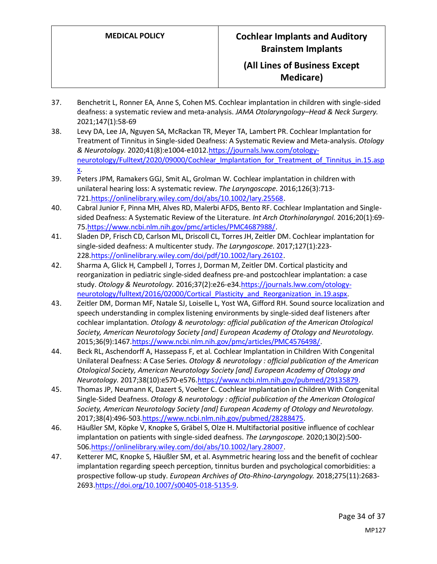- 37. Benchetrit L, Ronner EA, Anne S, Cohen MS. Cochlear implantation in children with single-sided deafness: a systematic review and meta-analysis. *JAMA Otolaryngology–Head & Neck Surgery.*  2021;147(1):58-69
- 38. Levy DA, Lee JA, Nguyen SA, McRackan TR, Meyer TA, Lambert PR. Cochlear Implantation for Treatment of Tinnitus in Single-sided Deafness: A Systematic Review and Meta-analysis. *Otology & Neurotology.* 2020;41(8):e1004-e1012[.https://journals.lww.com/otology](https://journals.lww.com/otology-neurotology/Fulltext/2020/09000/Cochlear_Implantation_for_Treatment_of_Tinnitus_in.15.aspx)[neurotology/Fulltext/2020/09000/Cochlear\\_Implantation\\_for\\_Treatment\\_of\\_Tinnitus\\_in.15.asp](https://journals.lww.com/otology-neurotology/Fulltext/2020/09000/Cochlear_Implantation_for_Treatment_of_Tinnitus_in.15.aspx) [x.](https://journals.lww.com/otology-neurotology/Fulltext/2020/09000/Cochlear_Implantation_for_Treatment_of_Tinnitus_in.15.aspx)
- 39. Peters JPM, Ramakers GGJ, Smit AL, Grolman W. Cochlear implantation in children with unilateral hearing loss: A systematic review. *The Laryngoscope.* 2016;126(3):713- 721[.https://onlinelibrary.wiley.com/doi/abs/10.1002/lary.25568.](https://onlinelibrary.wiley.com/doi/abs/10.1002/lary.25568)
- 40. Cabral Junior F, Pinna MH, Alves RD, Malerbi AFDS, Bento RF. Cochlear Implantation and Singlesided Deafness: A Systematic Review of the Literature. *Int Arch Otorhinolaryngol.* 2016;20(1):69- 75[.https://www.ncbi.nlm.nih.gov/pmc/articles/PMC4687988/.](https://www.ncbi.nlm.nih.gov/pmc/articles/PMC4687988/)
- 41. Sladen DP, Frisch CD, Carlson ML, Driscoll CL, Torres JH, Zeitler DM. Cochlear implantation for single‐sided deafness: A multicenter study. *The Laryngoscope.* 2017;127(1):223- 228[.https://onlinelibrary.wiley.com/doi/pdf/10.1002/lary.26102.](https://onlinelibrary.wiley.com/doi/pdf/10.1002/lary.26102)
- 42. Sharma A, Glick H, Campbell J, Torres J, Dorman M, Zeitler DM. Cortical plasticity and reorganization in pediatric single-sided deafness pre-and postcochlear implantation: a case study. *Otology & Neurotology.* 2016;37(2):e26-e34[.https://journals.lww.com/otology](https://journals.lww.com/otology-neurotology/fulltext/2016/02000/Cortical_Plasticity_and_Reorganization_in.19.aspx)[neurotology/fulltext/2016/02000/Cortical\\_Plasticity\\_and\\_Reorganization\\_in.19.aspx.](https://journals.lww.com/otology-neurotology/fulltext/2016/02000/Cortical_Plasticity_and_Reorganization_in.19.aspx)
- 43. Zeitler DM, Dorman MF, Natale SJ, Loiselle L, Yost WA, Gifford RH. Sound source localization and speech understanding in complex listening environments by single-sided deaf listeners after cochlear implantation. *Otology & neurotology: official publication of the American Otological Society, American Neurotology Society [and] European Academy of Otology and Neurotology.*  2015;36(9):146[7.https://www.ncbi.nlm.nih.gov/pmc/articles/PMC4576498/.](https://www.ncbi.nlm.nih.gov/pmc/articles/PMC4576498/)
- 44. Beck RL, Aschendorff A, Hassepass F, et al. Cochlear Implantation in Children With Congenital Unilateral Deafness: A Case Series. *Otology & neurotology : official publication of the American Otological Society, American Neurotology Society [and] European Academy of Otology and Neurotology.* 2017;38(10):e570-e576[.https://www.ncbi.nlm.nih.gov/pubmed/29135879.](https://www.ncbi.nlm.nih.gov/pubmed/29135879)
- 45. Thomas JP, Neumann K, Dazert S, Voelter C. Cochlear Implantation in Children With Congenital Single-Sided Deafness. *Otology & neurotology : official publication of the American Otological Society, American Neurotology Society [and] European Academy of Otology and Neurotology.*  2017;38(4):496-503[.https://www.ncbi.nlm.nih.gov/pubmed/28288475.](https://www.ncbi.nlm.nih.gov/pubmed/28288475)
- 46. Häußler SM, Köpke V, Knopke S, Gräbel S, Olze H. Multifactorial positive influence of cochlear implantation on patients with single-sided deafness. *The Laryngoscope.* 2020;130(2):500- 506[.https://onlinelibrary.wiley.com/doi/abs/10.1002/lary.28007.](https://onlinelibrary.wiley.com/doi/abs/10.1002/lary.28007)
- 47. Ketterer MC, Knopke S, Häußler SM, et al. Asymmetric hearing loss and the benefit of cochlear implantation regarding speech perception, tinnitus burden and psychological comorbidities: a prospective follow-up study. *European Archives of Oto-Rhino-Laryngology.* 2018;275(11):2683- 2693[.https://doi.org/10.1007/s00405-018-5135-9.](https://doi.org/10.1007/s00405-018-5135-9)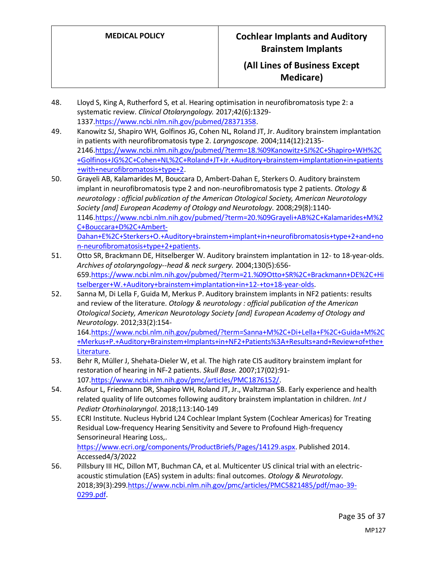- 48. Lloyd S, King A, Rutherford S, et al. Hearing optimisation in neurofibromatosis type 2: a systematic review. *Clinical Otolaryngology.* 2017;42(6):1329- 1337[.https://www.ncbi.nlm.nih.gov/pubmed/28371358.](https://www.ncbi.nlm.nih.gov/pubmed/28371358)
- 49. Kanowitz SJ, Shapiro WH, Golfinos JG, Cohen NL, Roland JT, Jr. Auditory brainstem implantation in patients with neurofibromatosis type 2. *Laryngoscope.* 2004;114(12):2135- 2146[.https://www.ncbi.nlm.nih.gov/pubmed/?term=18.%09Kanowitz+SJ%2C+Shapiro+WH%2C](https://www.ncbi.nlm.nih.gov/pubmed/?term=18.%09Kanowitz+SJ%2C+Shapiro+WH%2C+Golfinos+JG%2C+Cohen+NL%2C+Roland+JT+Jr.+Auditory+brainstem+implantation+in+patients+with+neurofibromatosis+type+2) [+Golfinos+JG%2C+Cohen+NL%2C+Roland+JT+Jr.+Auditory+brainstem+implantation+in+patients](https://www.ncbi.nlm.nih.gov/pubmed/?term=18.%09Kanowitz+SJ%2C+Shapiro+WH%2C+Golfinos+JG%2C+Cohen+NL%2C+Roland+JT+Jr.+Auditory+brainstem+implantation+in+patients+with+neurofibromatosis+type+2) [+with+neurofibromatosis+type+2.](https://www.ncbi.nlm.nih.gov/pubmed/?term=18.%09Kanowitz+SJ%2C+Shapiro+WH%2C+Golfinos+JG%2C+Cohen+NL%2C+Roland+JT+Jr.+Auditory+brainstem+implantation+in+patients+with+neurofibromatosis+type+2)
- 50. Grayeli AB, Kalamarides M, Bouccara D, Ambert-Dahan E, Sterkers O. Auditory brainstem implant in neurofibromatosis type 2 and non-neurofibromatosis type 2 patients. *Otology & neurotology : official publication of the American Otological Society, American Neurotology Society [and] European Academy of Otology and Neurotology.* 2008;29(8):1140- 1146[.https://www.ncbi.nlm.nih.gov/pubmed/?term=20.%09Grayeli+AB%2C+Kalamarides+M%2](https://www.ncbi.nlm.nih.gov/pubmed/?term=20.%09Grayeli+AB%2C+Kalamarides+M%2C+Bouccara+D%2C+Ambert-Dahan+E%2C+Sterkers+O.+Auditory+brainstem+implant+in+neurofibromatosis+type+2+and+non-neurofibromatosis+type+2+patients) [C+Bouccara+D%2C+Ambert-](https://www.ncbi.nlm.nih.gov/pubmed/?term=20.%09Grayeli+AB%2C+Kalamarides+M%2C+Bouccara+D%2C+Ambert-Dahan+E%2C+Sterkers+O.+Auditory+brainstem+implant+in+neurofibromatosis+type+2+and+non-neurofibromatosis+type+2+patients)[Dahan+E%2C+Sterkers+O.+Auditory+brainstem+implant+in+neurofibromatosis+type+2+and+no](https://www.ncbi.nlm.nih.gov/pubmed/?term=20.%09Grayeli+AB%2C+Kalamarides+M%2C+Bouccara+D%2C+Ambert-Dahan+E%2C+Sterkers+O.+Auditory+brainstem+implant+in+neurofibromatosis+type+2+and+non-neurofibromatosis+type+2+patients) [n-neurofibromatosis+type+2+patients.](https://www.ncbi.nlm.nih.gov/pubmed/?term=20.%09Grayeli+AB%2C+Kalamarides+M%2C+Bouccara+D%2C+Ambert-Dahan+E%2C+Sterkers+O.+Auditory+brainstem+implant+in+neurofibromatosis+type+2+and+non-neurofibromatosis+type+2+patients)
- 51. Otto SR, Brackmann DE, Hitselberger W. Auditory brainstem implantation in 12- to 18-year-olds. *Archives of otolaryngology--head & neck surgery.* 2004;130(5):656- 659[.https://www.ncbi.nlm.nih.gov/pubmed/?term=21.%09Otto+SR%2C+Brackmann+DE%2C+Hi](https://www.ncbi.nlm.nih.gov/pubmed/?term=21.%09Otto+SR%2C+Brackmann+DE%2C+Hitselberger+W.+Auditory+brainstem+implantation+in+12-+to+18-year-olds) [tselberger+W.+Auditory+brainstem+implantation+in+12-+to+18-year-olds.](https://www.ncbi.nlm.nih.gov/pubmed/?term=21.%09Otto+SR%2C+Brackmann+DE%2C+Hitselberger+W.+Auditory+brainstem+implantation+in+12-+to+18-year-olds)
- 52. Sanna M, Di Lella F, Guida M, Merkus P. Auditory brainstem implants in NF2 patients: results and review of the literature. *Otology & neurotology : official publication of the American Otological Society, American Neurotology Society [and] European Academy of Otology and Neurotology.* 2012;33(2):154-

164[.https://www.ncbi.nlm.nih.gov/pubmed/?term=Sanna+M%2C+Di+Lella+F%2C+Guida+M%2C](https://www.ncbi.nlm.nih.gov/pubmed/?term=Sanna+M%2C+Di+Lella+F%2C+Guida+M%2C+Merkus+P.+Auditory+Brainstem+Implants+in+NF2+Patients%3A+Results+and+Review+of+the+Literature) [+Merkus+P.+Auditory+Brainstem+Implants+in+NF2+Patients%3A+Results+and+Review+of+the+](https://www.ncbi.nlm.nih.gov/pubmed/?term=Sanna+M%2C+Di+Lella+F%2C+Guida+M%2C+Merkus+P.+Auditory+Brainstem+Implants+in+NF2+Patients%3A+Results+and+Review+of+the+Literature) [Literature.](https://www.ncbi.nlm.nih.gov/pubmed/?term=Sanna+M%2C+Di+Lella+F%2C+Guida+M%2C+Merkus+P.+Auditory+Brainstem+Implants+in+NF2+Patients%3A+Results+and+Review+of+the+Literature)

- 53. Behr R, Müller J, Shehata-Dieler W, et al. The high rate CIS auditory brainstem implant for restoration of hearing in NF-2 patients. *Skull Base.* 2007;17(02):91- 107[.https://www.ncbi.nlm.nih.gov/pmc/articles/PMC1876152/.](https://www.ncbi.nlm.nih.gov/pmc/articles/PMC1876152/)
- 54. Asfour L, Friedmann DR, Shapiro WH, Roland JT, Jr., Waltzman SB. Early experience and health related quality of life outcomes following auditory brainstem implantation in children. *Int J Pediatr Otorhinolaryngol.* 2018;113:140-149
- 55. ECRI Institute. Nucleus Hybrid L24 Cochlear Implant System (Cochlear Americas) for Treating Residual Low-frequency Hearing Sensitivity and Severe to Profound High-frequency Sensorineural Hearing Loss,. [https://www.ecri.org/components/ProductBriefs/Pages/14129.aspx.](https://www.ecri.org/components/ProductBriefs/Pages/14129.aspx) Published 2014.
- Accessed4/3/2022 56. Pillsbury III HC, Dillon MT, Buchman CA, et al. Multicenter US clinical trial with an electricacoustic stimulation (EAS) system in adults: final outcomes. *Otology & Neurotology.*  2018;39(3):299[.https://www.ncbi.nlm.nih.gov/pmc/articles/PMC5821485/pdf/mao-39-](https://www.ncbi.nlm.nih.gov/pmc/articles/PMC5821485/pdf/mao-39-0299.pdf) [0299.pdf.](https://www.ncbi.nlm.nih.gov/pmc/articles/PMC5821485/pdf/mao-39-0299.pdf)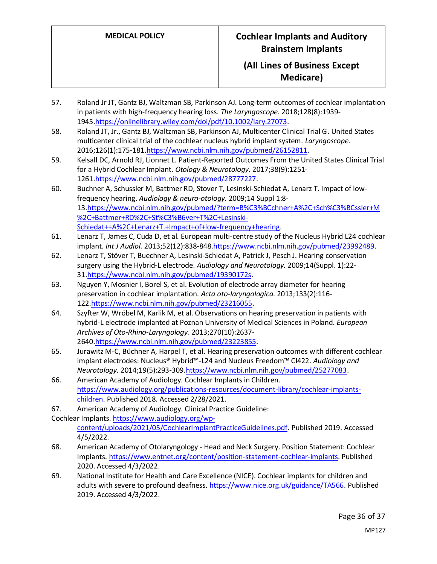- 57. Roland Jr JT, Gantz BJ, Waltzman SB, Parkinson AJ. Long‐term outcomes of cochlear implantation in patients with high‐frequency hearing loss. *The Laryngoscope.* 2018;128(8):1939- 1945[.https://onlinelibrary.wiley.com/doi/pdf/10.1002/lary.27073.](https://onlinelibrary.wiley.com/doi/pdf/10.1002/lary.27073)
- 58. Roland JT, Jr., Gantz BJ, Waltzman SB, Parkinson AJ, Multicenter Clinical Trial G. United States multicenter clinical trial of the cochlear nucleus hybrid implant system. *Laryngoscope.*  2016;126(1):175-18[1.https://www.ncbi.nlm.nih.gov/pubmed/26152811.](https://www.ncbi.nlm.nih.gov/pubmed/26152811)
- 59. Kelsall DC, Arnold RJ, Lionnet L. Patient-Reported Outcomes From the United States Clinical Trial for a Hybrid Cochlear Implant. *Otology & Neurotology.* 2017;38(9):1251- 1261[.https://www.ncbi.nlm.nih.gov/pubmed/28777227.](https://www.ncbi.nlm.nih.gov/pubmed/28777227)
- 60. Buchner A, Schussler M, Battmer RD, Stover T, Lesinski-Schiedat A, Lenarz T. Impact of lowfrequency hearing. *Audiology & neuro-otology.* 2009;14 Suppl 1:8- 13[.https://www.ncbi.nlm.nih.gov/pubmed/?term=B%C3%BCchner+A%2C+Sch%C3%BCssler+M](https://www.ncbi.nlm.nih.gov/pubmed/?term=B%C3%BCchner+A%2C+Sch%C3%BCssler+M%2C+Battmer+RD%2C+St%C3%B6ver+T%2C+Lesinski-Schiedat++A%2C+Lenarz+T.+Impact+of+low-frequency+hearing) [%2C+Battmer+RD%2C+St%C3%B6ver+T%2C+Lesinski-](https://www.ncbi.nlm.nih.gov/pubmed/?term=B%C3%BCchner+A%2C+Sch%C3%BCssler+M%2C+Battmer+RD%2C+St%C3%B6ver+T%2C+Lesinski-Schiedat++A%2C+Lenarz+T.+Impact+of+low-frequency+hearing)[Schiedat++A%2C+Lenarz+T.+Impact+of+low-frequency+hearing.](https://www.ncbi.nlm.nih.gov/pubmed/?term=B%C3%BCchner+A%2C+Sch%C3%BCssler+M%2C+Battmer+RD%2C+St%C3%B6ver+T%2C+Lesinski-Schiedat++A%2C+Lenarz+T.+Impact+of+low-frequency+hearing)
- 61. Lenarz T, James C, Cuda D, et al. European multi-centre study of the Nucleus Hybrid L24 cochlear implant. *Int J Audiol.* 2013;52(12):838-84[8.https://www.ncbi.nlm.nih.gov/pubmed/23992489.](https://www.ncbi.nlm.nih.gov/pubmed/23992489)
- 62. Lenarz T, Stöver T, Buechner A, Lesinski-Schiedat A, Patrick J, Pesch J. Hearing conservation surgery using the Hybrid-L electrode. *Audiology and Neurotology.* 2009;14(Suppl. 1):22- 31[.https://www.ncbi.nlm.nih.gov/pubmed/19390172s.](https://www.ncbi.nlm.nih.gov/pubmed/19390172s)
- 63. Nguyen Y, Mosnier I, Borel S, et al. Evolution of electrode array diameter for hearing preservation in cochlear implantation. *Acta oto-laryngologica.* 2013;133(2):116- 122[.https://www.ncbi.nlm.nih.gov/pubmed/23216055.](https://www.ncbi.nlm.nih.gov/pubmed/23216055)
- 64. Szyfter W, Wróbel M, Karlik M, et al. Observations on hearing preservation in patients with hybrid-L electrode implanted at Poznan University of Medical Sciences in Poland. *European Archives of Oto-Rhino-Laryngology.* 2013;270(10):2637- 2640[.https://www.ncbi.nlm.nih.gov/pubmed/23223855.](https://www.ncbi.nlm.nih.gov/pubmed/23223855)
- 65. Jurawitz M-C, Büchner A, Harpel T, et al. Hearing preservation outcomes with different cochlear implant electrodes: Nucleus® Hybrid™-L24 and Nucleus Freedom™ CI422. *Audiology and Neurotology.* 2014;19(5):293-309[.https://www.ncbi.nlm.nih.gov/pubmed/25277083.](https://www.ncbi.nlm.nih.gov/pubmed/25277083)
- 66. American Academy of Audiology. Cochlear Implants in Children. [https://www.audiology.org/publications-resources/document-library/cochlear-implants](https://www.audiology.org/publications-resources/document-library/cochlear-implants-children)[children.](https://www.audiology.org/publications-resources/document-library/cochlear-implants-children) Published 2018. Accessed 2/28/2021.
- 67. American Academy of Audiology. Clinical Practice Guideline:
- Cochlear Implants. [https://www.audiology.org/wp](https://www.audiology.org/wp-content/uploads/2021/05/CochlearImplantPracticeGuidelines.pdf)[content/uploads/2021/05/CochlearImplantPracticeGuidelines.pdf.](https://www.audiology.org/wp-content/uploads/2021/05/CochlearImplantPracticeGuidelines.pdf) Published 2019. Accessed 4/5/2022.
- 68. American Academy of Otolaryngology Head and Neck Surgery. Position Statement: Cochlear Implants[. https://www.entnet.org/content/position-statement-cochlear-implants.](https://www.entnet.org/content/position-statement-cochlear-implants) Published 2020. Accessed 4/3/2022.
- 69. National Institute for Health and Care Excellence (NICE). Cochlear implants for children and adults with severe to profound deafness. [https://www.nice.org.uk/guidance/TA566.](https://www.nice.org.uk/guidance/TA566) Published 2019. Accessed 4/3/2022.